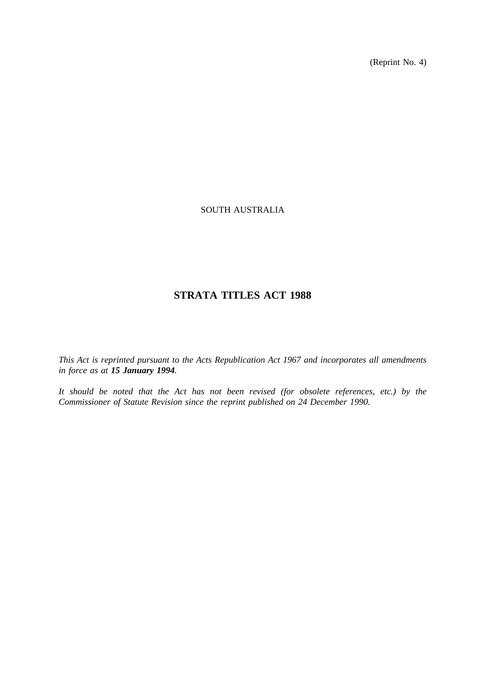(Reprint No. 4)

# SOUTH AUSTRALIA

# **STRATA TITLES ACT 1988**

*This Act is reprinted pursuant to the Acts Republication Act 1967 and incorporates all amendments in force as at 15 January 1994.*

*It should be noted that the Act has not been revised (for obsolete references, etc.) by the Commissioner of Statute Revision since the reprint published on 24 December 1990.*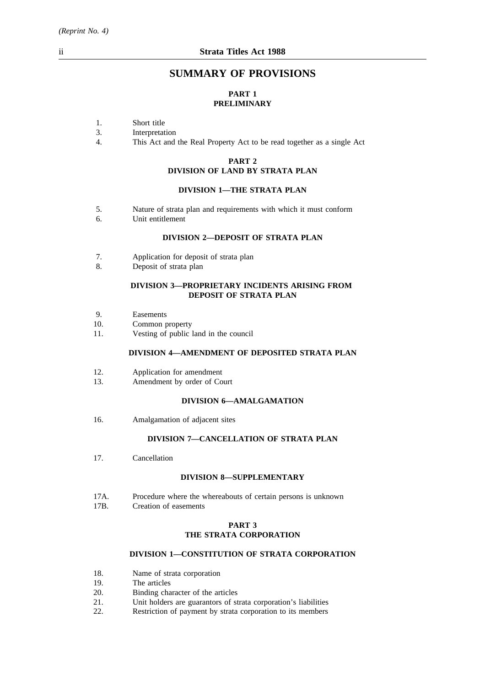# **SUMMARY OF PROVISIONS**

# **PART 1 PRELIMINARY**

- 1. Short title
- 3. Interpretation
- 4. This Act and the Real Property Act to be read together as a single Act

# **PART 2**

# **DIVISION OF LAND BY STRATA PLAN**

# **DIVISION 1—THE STRATA PLAN**

- 5. Nature of strata plan and requirements with which it must conform
- 6. Unit entitlement

# **DIVISION 2—DEPOSIT OF STRATA PLAN**

- 7. Application for deposit of strata plan
- 8. Deposit of strata plan

#### **DIVISION 3—PROPRIETARY INCIDENTS ARISING FROM DEPOSIT OF STRATA PLAN**

- 9. Easements
- 10. Common property
- 11. Vesting of public land in the council

# **DIVISION 4—AMENDMENT OF DEPOSITED STRATA PLAN**

- 12. Application for amendment
- 13. Amendment by order of Court

## **DIVISION 6—AMALGAMATION**

16. Amalgamation of adjacent sites

## **DIVISION 7—CANCELLATION OF STRATA PLAN**

17. Cancellation

# **DIVISION 8—SUPPLEMENTARY**

- 17A. Procedure where the whereabouts of certain persons is unknown
- 17B. Creation of easements

## **PART 3 THE STRATA CORPORATION**

#### **DIVISION 1—CONSTITUTION OF STRATA CORPORATION**

- 18. Name of strata corporation
- 19. The articles
- 20. Binding character of the articles
- 21. Unit holders are guarantors of strata corporation's liabilities
- 22. Restriction of payment by strata corporation to its members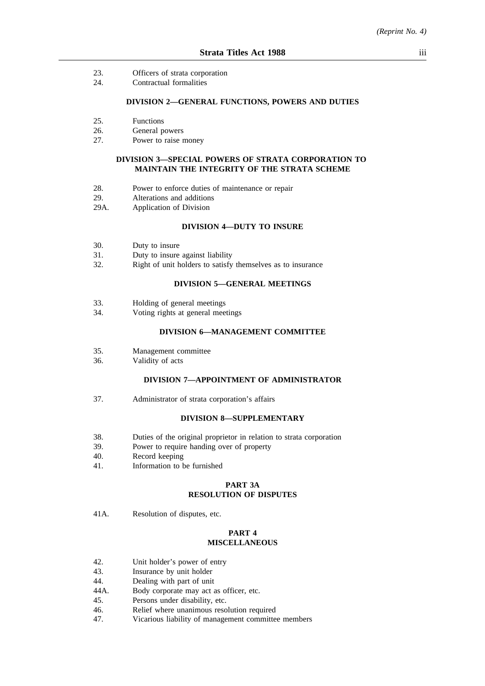- 23. Officers of strata corporation
- 24. Contractual formalities

# **DIVISION 2—GENERAL FUNCTIONS, POWERS AND DUTIES**

- 25. Functions
- 26. General powers
- 27. Power to raise money

#### **DIVISION 3—SPECIAL POWERS OF STRATA CORPORATION TO MAINTAIN THE INTEGRITY OF THE STRATA SCHEME**

- 28. Power to enforce duties of maintenance or repair
- 29. Alterations and additions
- 29A. Application of Division

#### **DIVISION 4—DUTY TO INSURE**

- 30. Duty to insure
- 31. Duty to insure against liability
- 32. Right of unit holders to satisfy themselves as to insurance

#### **DIVISION 5—GENERAL MEETINGS**

- 33. Holding of general meetings
- 34. Voting rights at general meetings

# **DIVISION 6—MANAGEMENT COMMITTEE**

- 35. Management committee
- 36. Validity of acts

#### **DIVISION 7—APPOINTMENT OF ADMINISTRATOR**

37. Administrator of strata corporation's affairs

#### **DIVISION 8—SUPPLEMENTARY**

- 38. Duties of the original proprietor in relation to strata corporation
- 39. Power to require handing over of property
- 40. Record keeping
- 41. Information to be furnished

## **PART 3A RESOLUTION OF DISPUTES**

41A. Resolution of disputes, etc.

## **PART 4 MISCELLANEOUS**

- 42. Unit holder's power of entry
- 43. Insurance by unit holder
- 44. Dealing with part of unit
- 44A. Body corporate may act as officer, etc.
- 45. Persons under disability, etc.
- 46. Relief where unanimous resolution required
- 47. Vicarious liability of management committee members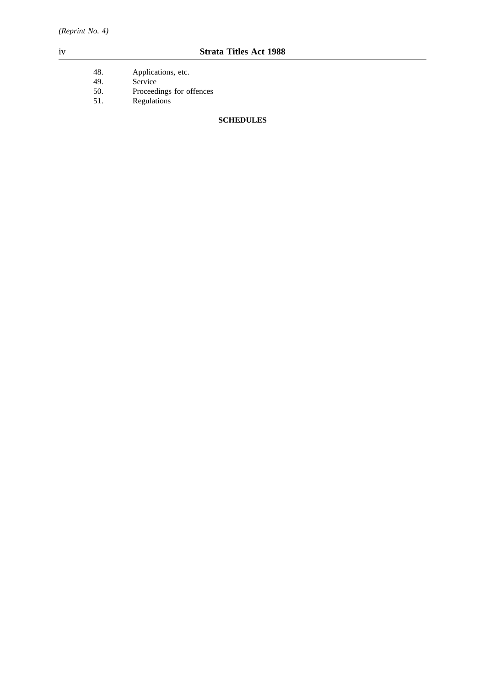- 48. Applications, etc. 49. Service
- 50. Proceedings for offences
- 51. Regulations

# **SCHEDULES**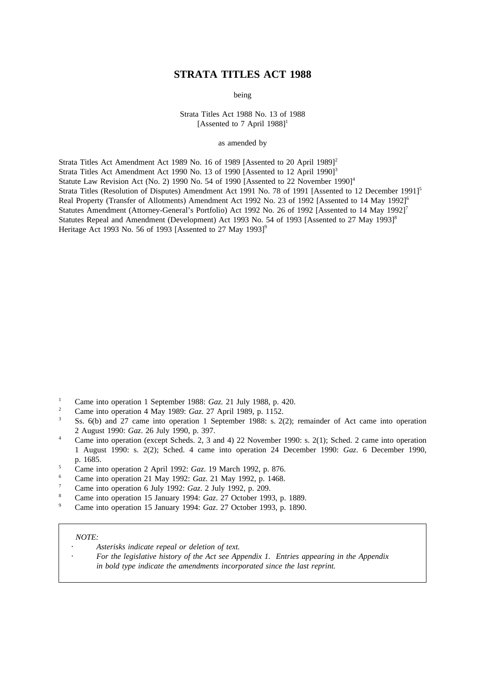# **STRATA TITLES ACT 1988**

being

Strata Titles Act 1988 No. 13 of 1988 [Assented to 7 April 1988]<sup>1</sup>

as amended by

Strata Titles Act Amendment Act 1989 No. 16 of 1989 [Assented to 20 April 1989]<sup>2</sup> Strata Titles Act Amendment Act 1990 No. 13 of 1990 [Assented to 12 April 1990]<sup>3</sup> Statute Law Revision Act (No. 2) 1990 No. 54 of 1990 [Assented to 22 November 1990]<sup>4</sup> Strata Titles (Resolution of Disputes) Amendment Act 1991 No. 78 of 1991 [Assented to 12 December 1991]<sup>5</sup> Real Property (Transfer of Allotments) Amendment Act 1992 No. 23 of 1992 [Assented to 14 May 1992]<sup>6</sup> Statutes Amendment (Attorney-General's Portfolio) Act 1992 No. 26 of 1992 [Assented to 14 May 1992]<sup>7</sup> Statutes Repeal and Amendment (Development) Act 1993 No. 54 of 1993 [Assented to 27 May 1993]<sup>8</sup> Heritage Act 1993 No. 56 of 1993 [Assented to 27 May 1993] $^9$ 

- <sup>1</sup> Came into operation 1 September 1988: *Gaz*. 21 July 1988, p. 420.
- <sup>2</sup> Came into operation 4 May 1989: *Gaz*. 27 April 1989, p. 1152.
- Ss. 6(b) and 27 came into operation 1 September 1988: s. 2(2); remainder of Act came into operation 2 August 1990: *Gaz*. 26 July 1990, p. 397.
- <sup>4</sup> Came into operation (except Scheds. 2, 3 and 4) 22 November 1990: s. 2(1); Sched. 2 came into operation 1 August 1990: s. 2(2); Sched. 4 came into operation 24 December 1990: *Gaz*. 6 December 1990, p. 1685.
- <sup>5</sup> Came into operation 2 April 1992: *Gaz*. 19 March 1992, p. 876.
- <sup>6</sup> Came into operation 21 May 1992: *Gaz*. 21 May 1992, p. 1468.
- <sup>7</sup> Came into operation 6 July 1992: *Gaz*. 2 July 1992, p. 209.
- <sup>8</sup> Came into operation 15 January 1994: *Gaz*. 27 October 1993, p. 1889.
- <sup>9</sup> Came into operation 15 January 1994: *Gaz*. 27 October 1993, p. 1890.

#### *NOTE:*

- *Asterisks indicate repeal or deletion of text.*
	- *For the legislative history of the Act see Appendix 1. Entries appearing in the Appendix in bold type indicate the amendments incorporated since the last reprint.*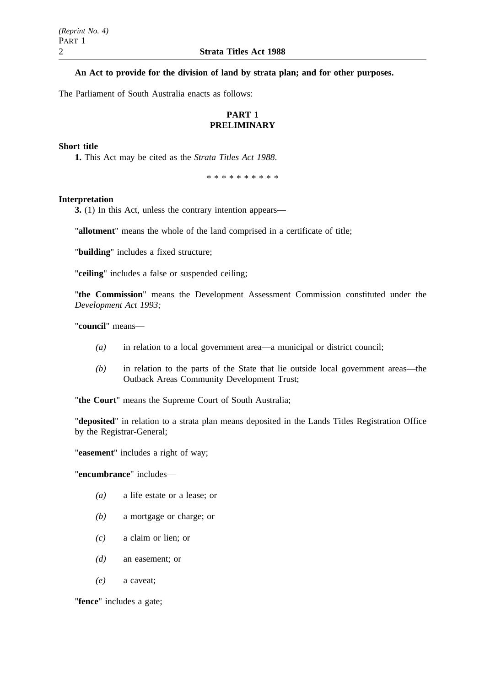## **An Act to provide for the division of land by strata plan; and for other purposes.**

The Parliament of South Australia enacts as follows:

# **PART 1 PRELIMINARY**

## **Short title**

**1.** This Act may be cited as the *Strata Titles Act 1988*.

\*\*\*\*\*\*\*\*\*\*

#### **Interpretation**

**3.** (1) In this Act, unless the contrary intention appears—

"**allotment**" means the whole of the land comprised in a certificate of title;

"**building**" includes a fixed structure;

"**ceiling**" includes a false or suspended ceiling;

"**the Commission**" means the Development Assessment Commission constituted under the *Development Act 1993;*

"**council**" means—

- *(a)* in relation to a local government area—a municipal or district council;
- *(b)* in relation to the parts of the State that lie outside local government areas—the Outback Areas Community Development Trust;

"**the Court**" means the Supreme Court of South Australia;

"**deposited**" in relation to a strata plan means deposited in the Lands Titles Registration Office by the Registrar-General;

"**easement**" includes a right of way;

"**encumbrance**" includes—

- *(a)* a life estate or a lease; or
- *(b)* a mortgage or charge; or
- *(c)* a claim or lien; or
- *(d)* an easement; or
- *(e)* a caveat;

"**fence**" includes a gate;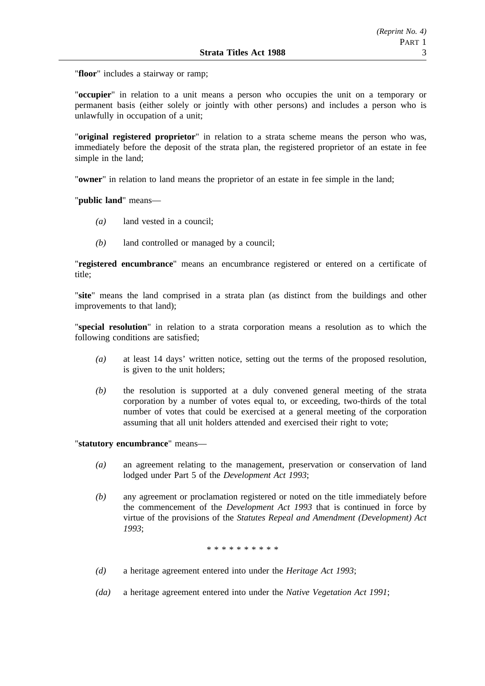"**floor**" includes a stairway or ramp;

"**occupier**" in relation to a unit means a person who occupies the unit on a temporary or permanent basis (either solely or jointly with other persons) and includes a person who is unlawfully in occupation of a unit;

"**original registered proprietor**" in relation to a strata scheme means the person who was, immediately before the deposit of the strata plan, the registered proprietor of an estate in fee simple in the land;

"**owner**" in relation to land means the proprietor of an estate in fee simple in the land;

"**public land**" means—

- *(a)* land vested in a council;
- *(b)* land controlled or managed by a council;

"**registered encumbrance**" means an encumbrance registered or entered on a certificate of title;

"**site**" means the land comprised in a strata plan (as distinct from the buildings and other improvements to that land);

"**special resolution**" in relation to a strata corporation means a resolution as to which the following conditions are satisfied;

- *(a)* at least 14 days' written notice, setting out the terms of the proposed resolution, is given to the unit holders;
- *(b)* the resolution is supported at a duly convened general meeting of the strata corporation by a number of votes equal to, or exceeding, two-thirds of the total number of votes that could be exercised at a general meeting of the corporation assuming that all unit holders attended and exercised their right to vote;

"**statutory encumbrance**" means—

- *(a)* an agreement relating to the management, preservation or conservation of land lodged under Part 5 of the *Development Act 1993*;
- *(b)* any agreement or proclamation registered or noted on the title immediately before the commencement of the *Development Act 1993* that is continued in force by virtue of the provisions of the *Statutes Repeal and Amendment (Development) Act 1993*;

#### \*\*\*\*\*\*\*\*\*\*

- *(d)* a heritage agreement entered into under the *Heritage Act 1993*;
- *(da)* a heritage agreement entered into under the *Native Vegetation Act 1991*;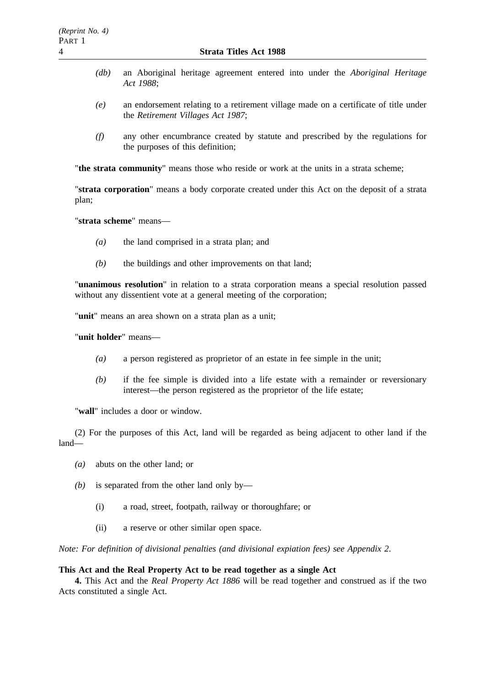- *(db)* an Aboriginal heritage agreement entered into under the *Aboriginal Heritage Act 1988*;
- *(e)* an endorsement relating to a retirement village made on a certificate of title under the *Retirement Villages Act 1987*;
- *(f)* any other encumbrance created by statute and prescribed by the regulations for the purposes of this definition;

"**the strata community**" means those who reside or work at the units in a strata scheme;

"**strata corporation**" means a body corporate created under this Act on the deposit of a strata plan;

"**strata scheme**" means—

- *(a)* the land comprised in a strata plan; and
- *(b)* the buildings and other improvements on that land;

"**unanimous resolution**" in relation to a strata corporation means a special resolution passed without any dissentient vote at a general meeting of the corporation;

"**unit**" means an area shown on a strata plan as a unit;

"**unit holder**" means—

- *(a)* a person registered as proprietor of an estate in fee simple in the unit;
- *(b)* if the fee simple is divided into a life estate with a remainder or reversionary interest—the person registered as the proprietor of the life estate;

"**wall**" includes a door or window.

(2) For the purposes of this Act, land will be regarded as being adjacent to other land if the land—

- *(a)* abuts on the other land; or
- *(b)* is separated from the other land only by—
	- (i) a road, street, footpath, railway or thoroughfare; or
	- (ii) a reserve or other similar open space.

*Note: For definition of divisional penalties (and divisional expiation fees) see Appendix 2*.

# **This Act and the Real Property Act to be read together as a single Act**

**4.** This Act and the *Real Property Act 1886* will be read together and construed as if the two Acts constituted a single Act.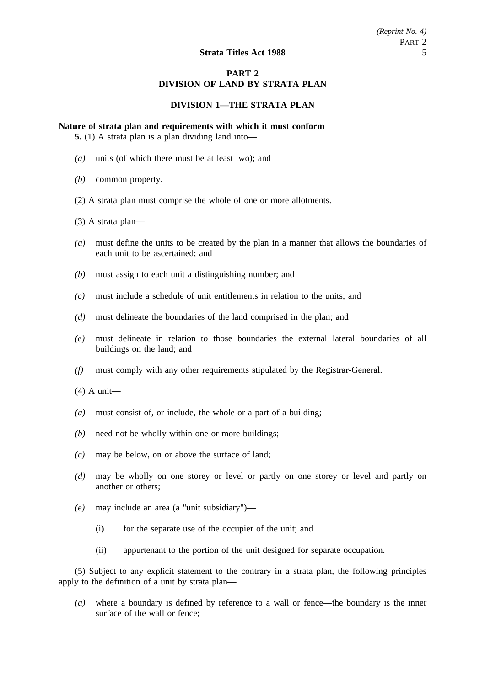# **PART 2 DIVISION OF LAND BY STRATA PLAN**

## **DIVISION 1—THE STRATA PLAN**

#### **Nature of strata plan and requirements with which it must conform**

**5.** (1) A strata plan is a plan dividing land into—

- *(a)* units (of which there must be at least two); and
- *(b)* common property.
- (2) A strata plan must comprise the whole of one or more allotments.
- (3) A strata plan—
- *(a)* must define the units to be created by the plan in a manner that allows the boundaries of each unit to be ascertained; and
- *(b)* must assign to each unit a distinguishing number; and
- *(c)* must include a schedule of unit entitlements in relation to the units; and
- *(d)* must delineate the boundaries of the land comprised in the plan; and
- *(e)* must delineate in relation to those boundaries the external lateral boundaries of all buildings on the land; and
- *(f)* must comply with any other requirements stipulated by the Registrar-General.

(4) A unit—

- *(a)* must consist of, or include, the whole or a part of a building;
- *(b)* need not be wholly within one or more buildings;
- *(c)* may be below, on or above the surface of land;
- *(d)* may be wholly on one storey or level or partly on one storey or level and partly on another or others;
- *(e)* may include an area (a "unit subsidiary")—
	- (i) for the separate use of the occupier of the unit; and
	- (ii) appurtenant to the portion of the unit designed for separate occupation.

(5) Subject to any explicit statement to the contrary in a strata plan, the following principles apply to the definition of a unit by strata plan—

*(a)* where a boundary is defined by reference to a wall or fence—the boundary is the inner surface of the wall or fence;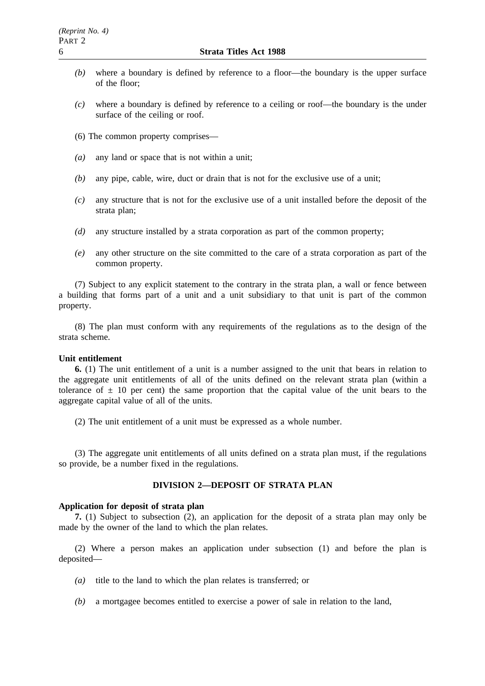- *(b)* where a boundary is defined by reference to a floor—the boundary is the upper surface of the floor;
- *(c)* where a boundary is defined by reference to a ceiling or roof—the boundary is the under surface of the ceiling or roof.
- (6) The common property comprises—
- *(a)* any land or space that is not within a unit;
- *(b)* any pipe, cable, wire, duct or drain that is not for the exclusive use of a unit;
- *(c)* any structure that is not for the exclusive use of a unit installed before the deposit of the strata plan;
- *(d)* any structure installed by a strata corporation as part of the common property;
- *(e)* any other structure on the site committed to the care of a strata corporation as part of the common property.

(7) Subject to any explicit statement to the contrary in the strata plan, a wall or fence between a building that forms part of a unit and a unit subsidiary to that unit is part of the common property.

(8) The plan must conform with any requirements of the regulations as to the design of the strata scheme.

#### **Unit entitlement**

**6.** (1) The unit entitlement of a unit is a number assigned to the unit that bears in relation to the aggregate unit entitlements of all of the units defined on the relevant strata plan (within a tolerance of  $\pm$  10 per cent) the same proportion that the capital value of the unit bears to the aggregate capital value of all of the units.

(2) The unit entitlement of a unit must be expressed as a whole number.

(3) The aggregate unit entitlements of all units defined on a strata plan must, if the regulations so provide, be a number fixed in the regulations.

# **DIVISION 2—DEPOSIT OF STRATA PLAN**

#### **Application for deposit of strata plan**

**7.** (1) Subject to subsection (2), an application for the deposit of a strata plan may only be made by the owner of the land to which the plan relates.

(2) Where a person makes an application under subsection (1) and before the plan is deposited—

- *(a)* title to the land to which the plan relates is transferred; or
- *(b)* a mortgagee becomes entitled to exercise a power of sale in relation to the land,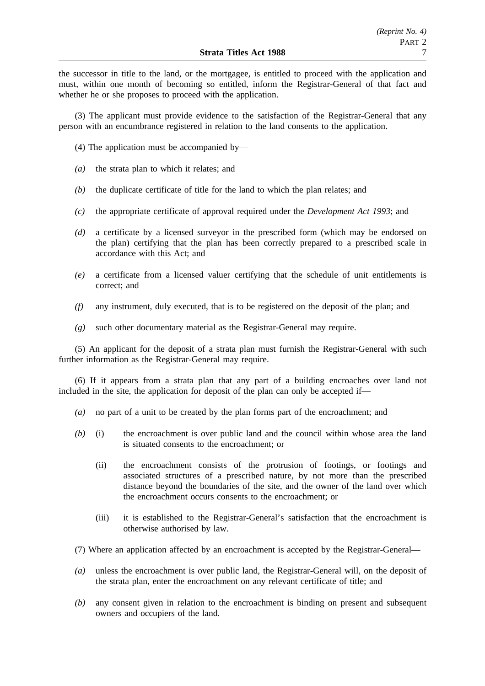the successor in title to the land, or the mortgagee, is entitled to proceed with the application and must, within one month of becoming so entitled, inform the Registrar-General of that fact and whether he or she proposes to proceed with the application.

(3) The applicant must provide evidence to the satisfaction of the Registrar-General that any person with an encumbrance registered in relation to the land consents to the application.

(4) The application must be accompanied by—

- *(a)* the strata plan to which it relates; and
- *(b)* the duplicate certificate of title for the land to which the plan relates; and
- *(c)* the appropriate certificate of approval required under the *Development Act 1993*; and
- *(d)* a certificate by a licensed surveyor in the prescribed form (which may be endorsed on the plan) certifying that the plan has been correctly prepared to a prescribed scale in accordance with this Act; and
- *(e)* a certificate from a licensed valuer certifying that the schedule of unit entitlements is correct; and
- *(f)* any instrument, duly executed, that is to be registered on the deposit of the plan; and
- *(g)* such other documentary material as the Registrar-General may require.

(5) An applicant for the deposit of a strata plan must furnish the Registrar-General with such further information as the Registrar-General may require.

(6) If it appears from a strata plan that any part of a building encroaches over land not included in the site, the application for deposit of the plan can only be accepted if—

- *(a)* no part of a unit to be created by the plan forms part of the encroachment; and
- *(b)* (i) the encroachment is over public land and the council within whose area the land is situated consents to the encroachment; or
	- (ii) the encroachment consists of the protrusion of footings, or footings and associated structures of a prescribed nature, by not more than the prescribed distance beyond the boundaries of the site, and the owner of the land over which the encroachment occurs consents to the encroachment; or
	- (iii) it is established to the Registrar-General's satisfaction that the encroachment is otherwise authorised by law.

(7) Where an application affected by an encroachment is accepted by the Registrar-General—

- *(a)* unless the encroachment is over public land, the Registrar-General will, on the deposit of the strata plan, enter the encroachment on any relevant certificate of title; and
- *(b)* any consent given in relation to the encroachment is binding on present and subsequent owners and occupiers of the land.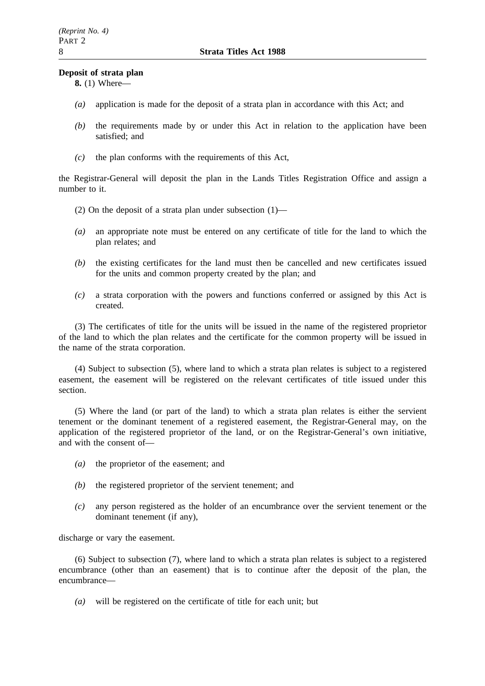# **Deposit of strata plan**

**8.** (1) Where—

- *(a)* application is made for the deposit of a strata plan in accordance with this Act; and
- *(b)* the requirements made by or under this Act in relation to the application have been satisfied; and
- *(c)* the plan conforms with the requirements of this Act,

the Registrar-General will deposit the plan in the Lands Titles Registration Office and assign a number to it.

- (2) On the deposit of a strata plan under subsection  $(1)$ —
- *(a)* an appropriate note must be entered on any certificate of title for the land to which the plan relates; and
- *(b)* the existing certificates for the land must then be cancelled and new certificates issued for the units and common property created by the plan; and
- *(c)* a strata corporation with the powers and functions conferred or assigned by this Act is created.

(3) The certificates of title for the units will be issued in the name of the registered proprietor of the land to which the plan relates and the certificate for the common property will be issued in the name of the strata corporation.

(4) Subject to subsection (5), where land to which a strata plan relates is subject to a registered easement, the easement will be registered on the relevant certificates of title issued under this section.

(5) Where the land (or part of the land) to which a strata plan relates is either the servient tenement or the dominant tenement of a registered easement, the Registrar-General may, on the application of the registered proprietor of the land, or on the Registrar-General's own initiative, and with the consent of—

- *(a)* the proprietor of the easement; and
- *(b)* the registered proprietor of the servient tenement; and
- *(c)* any person registered as the holder of an encumbrance over the servient tenement or the dominant tenement (if any),

discharge or vary the easement.

(6) Subject to subsection (7), where land to which a strata plan relates is subject to a registered encumbrance (other than an easement) that is to continue after the deposit of the plan, the encumbrance—

*(a)* will be registered on the certificate of title for each unit; but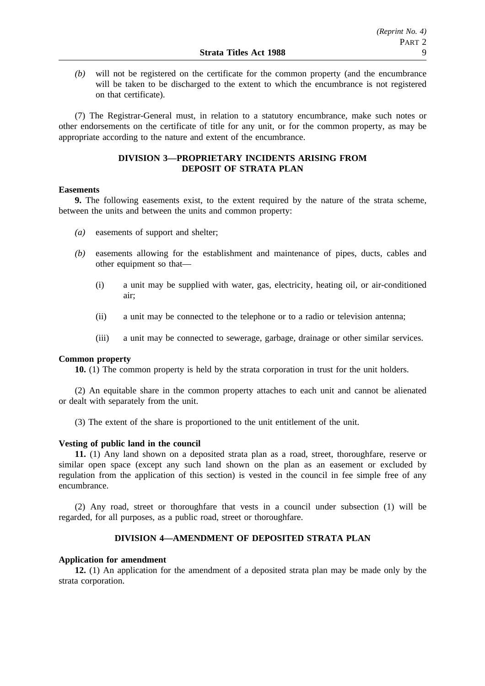*(b)* will not be registered on the certificate for the common property (and the encumbrance will be taken to be discharged to the extent to which the encumbrance is not registered on that certificate).

(7) The Registrar-General must, in relation to a statutory encumbrance, make such notes or other endorsements on the certificate of title for any unit, or for the common property, as may be appropriate according to the nature and extent of the encumbrance.

# **DIVISION 3—PROPRIETARY INCIDENTS ARISING FROM DEPOSIT OF STRATA PLAN**

#### **Easements**

**9.** The following easements exist, to the extent required by the nature of the strata scheme, between the units and between the units and common property:

- *(a)* easements of support and shelter;
- *(b)* easements allowing for the establishment and maintenance of pipes, ducts, cables and other equipment so that—
	- (i) a unit may be supplied with water, gas, electricity, heating oil, or air-conditioned air;
	- (ii) a unit may be connected to the telephone or to a radio or television antenna;
	- (iii) a unit may be connected to sewerage, garbage, drainage or other similar services.

#### **Common property**

**10.** (1) The common property is held by the strata corporation in trust for the unit holders.

(2) An equitable share in the common property attaches to each unit and cannot be alienated or dealt with separately from the unit.

(3) The extent of the share is proportioned to the unit entitlement of the unit.

## **Vesting of public land in the council**

**11.** (1) Any land shown on a deposited strata plan as a road, street, thoroughfare, reserve or similar open space (except any such land shown on the plan as an easement or excluded by regulation from the application of this section) is vested in the council in fee simple free of any encumbrance.

(2) Any road, street or thoroughfare that vests in a council under subsection (1) will be regarded, for all purposes, as a public road, street or thoroughfare.

## **DIVISION 4—AMENDMENT OF DEPOSITED STRATA PLAN**

## **Application for amendment**

**12.** (1) An application for the amendment of a deposited strata plan may be made only by the strata corporation.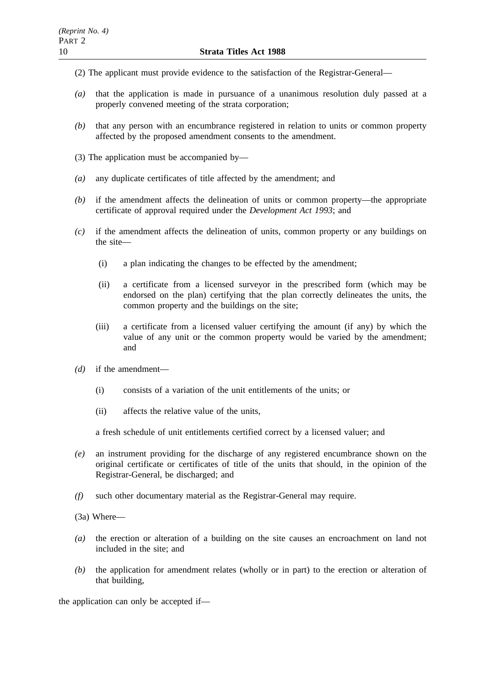- (2) The applicant must provide evidence to the satisfaction of the Registrar-General—
- *(a)* that the application is made in pursuance of a unanimous resolution duly passed at a properly convened meeting of the strata corporation;
- *(b)* that any person with an encumbrance registered in relation to units or common property affected by the proposed amendment consents to the amendment.
- (3) The application must be accompanied by—
- *(a)* any duplicate certificates of title affected by the amendment; and
- *(b)* if the amendment affects the delineation of units or common property—the appropriate certificate of approval required under the *Development Act 1993*; and
- *(c)* if the amendment affects the delineation of units, common property or any buildings on the site—
	- (i) a plan indicating the changes to be effected by the amendment;
	- (ii) a certificate from a licensed surveyor in the prescribed form (which may be endorsed on the plan) certifying that the plan correctly delineates the units, the common property and the buildings on the site;
	- (iii) a certificate from a licensed valuer certifying the amount (if any) by which the value of any unit or the common property would be varied by the amendment; and
- *(d)* if the amendment—
	- (i) consists of a variation of the unit entitlements of the units; or
	- (ii) affects the relative value of the units,

a fresh schedule of unit entitlements certified correct by a licensed valuer; and

- *(e)* an instrument providing for the discharge of any registered encumbrance shown on the original certificate or certificates of title of the units that should, in the opinion of the Registrar-General, be discharged; and
- *(f)* such other documentary material as the Registrar-General may require.
- (3a) Where—
- *(a)* the erection or alteration of a building on the site causes an encroachment on land not included in the site; and
- *(b)* the application for amendment relates (wholly or in part) to the erection or alteration of that building,

the application can only be accepted if—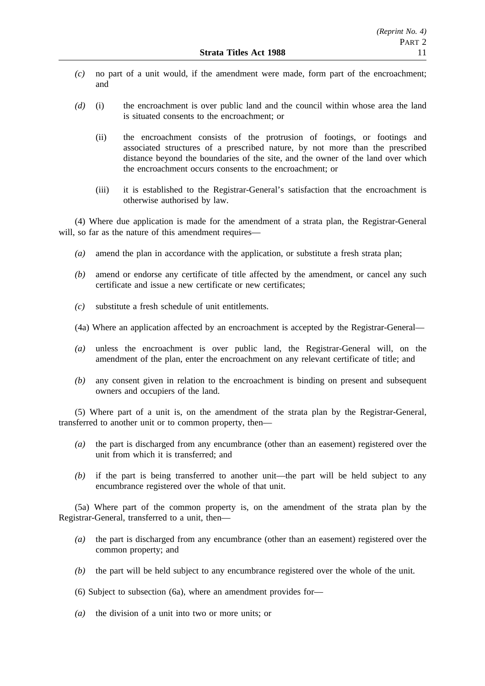- *(c)* no part of a unit would, if the amendment were made, form part of the encroachment; and
- *(d)* (i) the encroachment is over public land and the council within whose area the land is situated consents to the encroachment; or
	- (ii) the encroachment consists of the protrusion of footings, or footings and associated structures of a prescribed nature, by not more than the prescribed distance beyond the boundaries of the site, and the owner of the land over which the encroachment occurs consents to the encroachment; or
	- (iii) it is established to the Registrar-General's satisfaction that the encroachment is otherwise authorised by law.

(4) Where due application is made for the amendment of a strata plan, the Registrar-General will, so far as the nature of this amendment requires—

- *(a)* amend the plan in accordance with the application, or substitute a fresh strata plan;
- *(b)* amend or endorse any certificate of title affected by the amendment, or cancel any such certificate and issue a new certificate or new certificates;
- *(c)* substitute a fresh schedule of unit entitlements.
- (4a) Where an application affected by an encroachment is accepted by the Registrar-General—
- *(a)* unless the encroachment is over public land, the Registrar-General will, on the amendment of the plan, enter the encroachment on any relevant certificate of title; and
- *(b)* any consent given in relation to the encroachment is binding on present and subsequent owners and occupiers of the land.

(5) Where part of a unit is, on the amendment of the strata plan by the Registrar-General, transferred to another unit or to common property, then—

- *(a)* the part is discharged from any encumbrance (other than an easement) registered over the unit from which it is transferred; and
- *(b)* if the part is being transferred to another unit—the part will be held subject to any encumbrance registered over the whole of that unit.

(5a) Where part of the common property is, on the amendment of the strata plan by the Registrar-General, transferred to a unit, then—

- *(a)* the part is discharged from any encumbrance (other than an easement) registered over the common property; and
- *(b)* the part will be held subject to any encumbrance registered over the whole of the unit.
- (6) Subject to subsection (6a), where an amendment provides for—
- *(a)* the division of a unit into two or more units; or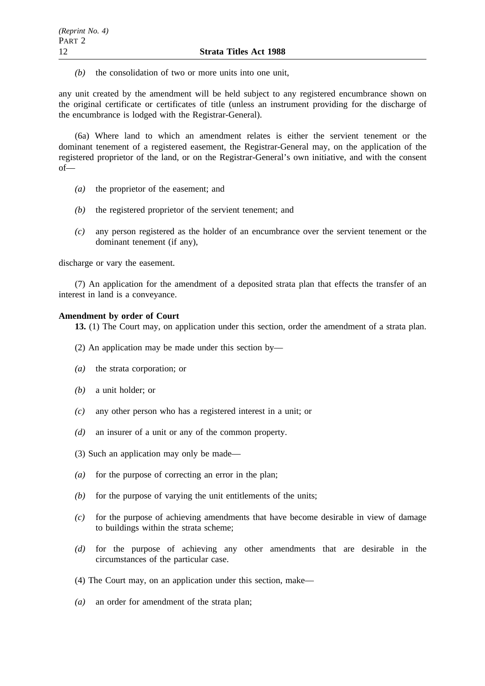*(b)* the consolidation of two or more units into one unit,

any unit created by the amendment will be held subject to any registered encumbrance shown on the original certificate or certificates of title (unless an instrument providing for the discharge of the encumbrance is lodged with the Registrar-General).

(6a) Where land to which an amendment relates is either the servient tenement or the dominant tenement of a registered easement, the Registrar-General may, on the application of the registered proprietor of the land, or on the Registrar-General's own initiative, and with the consent of—

- *(a)* the proprietor of the easement; and
- *(b)* the registered proprietor of the servient tenement; and
- *(c)* any person registered as the holder of an encumbrance over the servient tenement or the dominant tenement (if any),

discharge or vary the easement.

(7) An application for the amendment of a deposited strata plan that effects the transfer of an interest in land is a conveyance.

## **Amendment by order of Court**

**13.** (1) The Court may, on application under this section, order the amendment of a strata plan.

(2) An application may be made under this section by—

- *(a)* the strata corporation; or
- *(b)* a unit holder; or
- *(c)* any other person who has a registered interest in a unit; or
- *(d)* an insurer of a unit or any of the common property.
- (3) Such an application may only be made—
- *(a)* for the purpose of correcting an error in the plan;
- *(b)* for the purpose of varying the unit entitlements of the units;
- *(c)* for the purpose of achieving amendments that have become desirable in view of damage to buildings within the strata scheme;
- *(d)* for the purpose of achieving any other amendments that are desirable in the circumstances of the particular case.
- (4) The Court may, on an application under this section, make—
- *(a)* an order for amendment of the strata plan;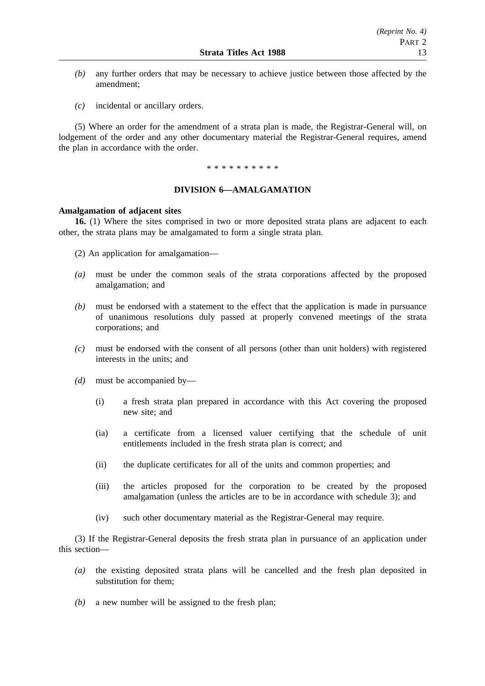- *(b)* any further orders that may be necessary to achieve justice between those affected by the amendment;
- *(c)* incidental or ancillary orders.

(5) Where an order for the amendment of a strata plan is made, the Registrar-General will, on lodgement of the order and any other documentary material the Registrar-General requires, amend the plan in accordance with the order.

\*\*\*\*\*\*\*\*\*\*

# **DIVISION 6—AMALGAMATION**

## **Amalgamation of adjacent sites**

**16.** (1) Where the sites comprised in two or more deposited strata plans are adjacent to each other, the strata plans may be amalgamated to form a single strata plan.

(2) An application for amalgamation—

- *(a)* must be under the common seals of the strata corporations affected by the proposed amalgamation; and
- *(b)* must be endorsed with a statement to the effect that the application is made in pursuance of unanimous resolutions duly passed at properly convened meetings of the strata corporations; and
- *(c)* must be endorsed with the consent of all persons (other than unit holders) with registered interests in the units; and
- *(d)* must be accompanied by—
	- (i) a fresh strata plan prepared in accordance with this Act covering the proposed new site; and
	- (ia) a certificate from a licensed valuer certifying that the schedule of unit entitlements included in the fresh strata plan is correct; and
	- (ii) the duplicate certificates for all of the units and common properties; and
	- (iii) the articles proposed for the corporation to be created by the proposed amalgamation (unless the articles are to be in accordance with schedule 3); and
	- (iv) such other documentary material as the Registrar-General may require.

(3) If the Registrar-General deposits the fresh strata plan in pursuance of an application under this section—

- *(a)* the existing deposited strata plans will be cancelled and the fresh plan deposited in substitution for them;
- *(b)* a new number will be assigned to the fresh plan;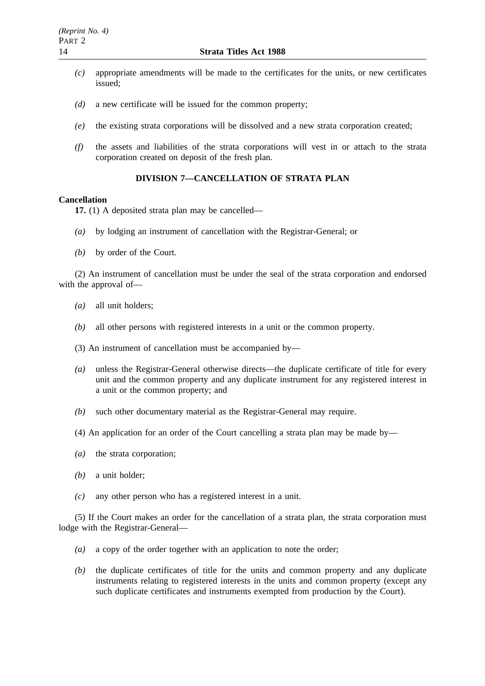- *(c)* appropriate amendments will be made to the certificates for the units, or new certificates issued;
- *(d)* a new certificate will be issued for the common property;
- *(e)* the existing strata corporations will be dissolved and a new strata corporation created;
- *(f)* the assets and liabilities of the strata corporations will vest in or attach to the strata corporation created on deposit of the fresh plan.

# **DIVISION 7—CANCELLATION OF STRATA PLAN**

#### **Cancellation**

**17.** (1) A deposited strata plan may be cancelled—

- *(a)* by lodging an instrument of cancellation with the Registrar-General; or
- *(b)* by order of the Court.

(2) An instrument of cancellation must be under the seal of the strata corporation and endorsed with the approval of—

- *(a)* all unit holders;
- *(b)* all other persons with registered interests in a unit or the common property.
- (3) An instrument of cancellation must be accompanied by—
- *(a)* unless the Registrar-General otherwise directs—the duplicate certificate of title for every unit and the common property and any duplicate instrument for any registered interest in a unit or the common property; and
- *(b)* such other documentary material as the Registrar-General may require.
- (4) An application for an order of the Court cancelling a strata plan may be made by—
- *(a)* the strata corporation;
- *(b)* a unit holder;
- *(c)* any other person who has a registered interest in a unit.

(5) If the Court makes an order for the cancellation of a strata plan, the strata corporation must lodge with the Registrar-General—

- *(a)* a copy of the order together with an application to note the order;
- *(b)* the duplicate certificates of title for the units and common property and any duplicate instruments relating to registered interests in the units and common property (except any such duplicate certificates and instruments exempted from production by the Court).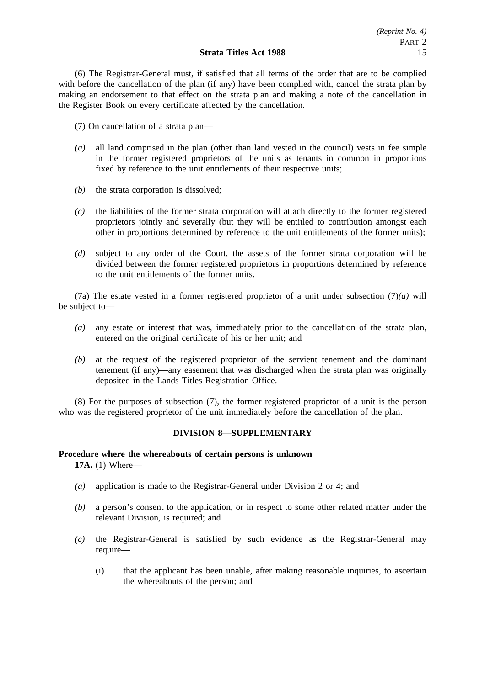(6) The Registrar-General must, if satisfied that all terms of the order that are to be complied with before the cancellation of the plan (if any) have been complied with, cancel the strata plan by making an endorsement to that effect on the strata plan and making a note of the cancellation in the Register Book on every certificate affected by the cancellation.

- (7) On cancellation of a strata plan—
- *(a)* all land comprised in the plan (other than land vested in the council) vests in fee simple in the former registered proprietors of the units as tenants in common in proportions fixed by reference to the unit entitlements of their respective units;
- *(b)* the strata corporation is dissolved;
- *(c)* the liabilities of the former strata corporation will attach directly to the former registered proprietors jointly and severally (but they will be entitled to contribution amongst each other in proportions determined by reference to the unit entitlements of the former units);
- *(d)* subject to any order of the Court, the assets of the former strata corporation will be divided between the former registered proprietors in proportions determined by reference to the unit entitlements of the former units.

(7a) The estate vested in a former registered proprietor of a unit under subsection (7)*(a)* will be subject to—

- *(a)* any estate or interest that was, immediately prior to the cancellation of the strata plan, entered on the original certificate of his or her unit; and
- *(b)* at the request of the registered proprietor of the servient tenement and the dominant tenement (if any)—any easement that was discharged when the strata plan was originally deposited in the Lands Titles Registration Office.

(8) For the purposes of subsection (7), the former registered proprietor of a unit is the person who was the registered proprietor of the unit immediately before the cancellation of the plan.

# **DIVISION 8—SUPPLEMENTARY**

# **Procedure where the whereabouts of certain persons is unknown**

**17A.** (1) Where—

- *(a)* application is made to the Registrar-General under Division 2 or 4; and
- *(b)* a person's consent to the application, or in respect to some other related matter under the relevant Division, is required; and
- *(c)* the Registrar-General is satisfied by such evidence as the Registrar-General may require—
	- (i) that the applicant has been unable, after making reasonable inquiries, to ascertain the whereabouts of the person; and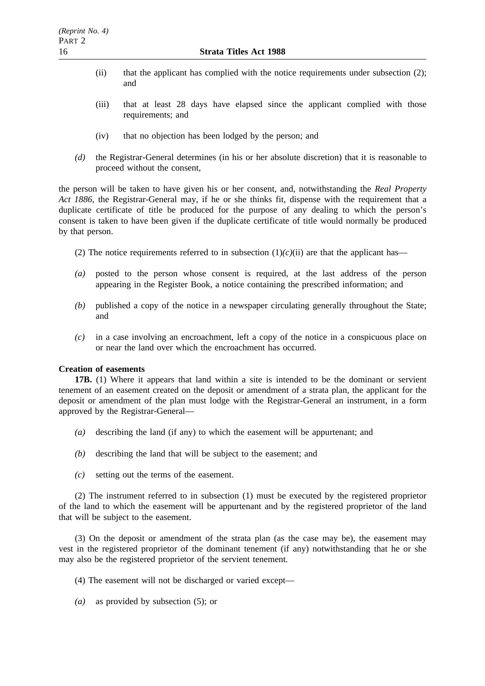- (ii) that the applicant has complied with the notice requirements under subsection (2); and
- (iii) that at least 28 days have elapsed since the applicant complied with those requirements; and
- (iv) that no objection has been lodged by the person; and
- *(d)* the Registrar-General determines (in his or her absolute discretion) that it is reasonable to proceed without the consent,

the person will be taken to have given his or her consent, and, notwithstanding the *Real Property Act 1886*, the Registrar-General may, if he or she thinks fit, dispense with the requirement that a duplicate certificate of title be produced for the purpose of any dealing to which the person's consent is taken to have been given if the duplicate certificate of title would normally be produced by that person.

- (2) The notice requirements referred to in subsection  $(1)(c)(ii)$  are that the applicant has—
- *(a)* posted to the person whose consent is required, at the last address of the person appearing in the Register Book, a notice containing the prescribed information; and
- *(b)* published a copy of the notice in a newspaper circulating generally throughout the State; and
- *(c)* in a case involving an encroachment, left a copy of the notice in a conspicuous place on or near the land over which the encroachment has occurred.

# **Creation of easements**

**17B.** (1) Where it appears that land within a site is intended to be the dominant or servient tenement of an easement created on the deposit or amendment of a strata plan, the applicant for the deposit or amendment of the plan must lodge with the Registrar-General an instrument, in a form approved by the Registrar-General—

- *(a)* describing the land (if any) to which the easement will be appurtenant; and
- *(b)* describing the land that will be subject to the easement; and
- *(c)* setting out the terms of the easement.

(2) The instrument referred to in subsection (1) must be executed by the registered proprietor of the land to which the easement will be appurtenant and by the registered proprietor of the land that will be subject to the easement.

(3) On the deposit or amendment of the strata plan (as the case may be), the easement may vest in the registered proprietor of the dominant tenement (if any) notwithstanding that he or she may also be the registered proprietor of the servient tenement.

- (4) The easement will not be discharged or varied except—
- *(a)* as provided by subsection (5); or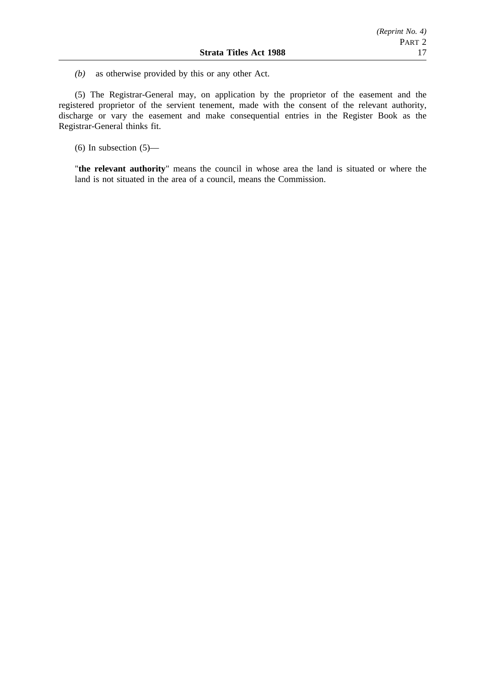*(b)* as otherwise provided by this or any other Act.

(5) The Registrar-General may, on application by the proprietor of the easement and the registered proprietor of the servient tenement, made with the consent of the relevant authority, discharge or vary the easement and make consequential entries in the Register Book as the Registrar-General thinks fit.

(6) In subsection  $(5)$ —

"**the relevant authority**" means the council in whose area the land is situated or where the land is not situated in the area of a council, means the Commission.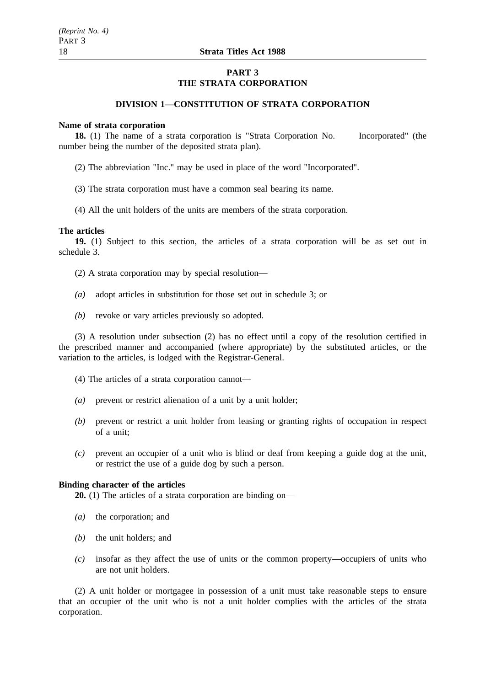# **PART 3 THE STRATA CORPORATION**

# **DIVISION 1—CONSTITUTION OF STRATA CORPORATION**

#### **Name of strata corporation**

**18.** (1) The name of a strata corporation is "Strata Corporation No. Incorporated" (the number being the number of the deposited strata plan).

(2) The abbreviation "Inc." may be used in place of the word "Incorporated".

(3) The strata corporation must have a common seal bearing its name.

(4) All the unit holders of the units are members of the strata corporation.

#### **The articles**

**19.** (1) Subject to this section, the articles of a strata corporation will be as set out in schedule 3.

- (2) A strata corporation may by special resolution—
- *(a)* adopt articles in substitution for those set out in schedule 3; or
- *(b)* revoke or vary articles previously so adopted.

(3) A resolution under subsection (2) has no effect until a copy of the resolution certified in the prescribed manner and accompanied (where appropriate) by the substituted articles, or the variation to the articles, is lodged with the Registrar-General.

- (4) The articles of a strata corporation cannot—
- *(a)* prevent or restrict alienation of a unit by a unit holder;
- *(b)* prevent or restrict a unit holder from leasing or granting rights of occupation in respect of a unit;
- *(c)* prevent an occupier of a unit who is blind or deaf from keeping a guide dog at the unit, or restrict the use of a guide dog by such a person.

# **Binding character of the articles**

**20.** (1) The articles of a strata corporation are binding on—

- *(a)* the corporation; and
- *(b)* the unit holders; and
- *(c)* insofar as they affect the use of units or the common property—occupiers of units who are not unit holders.

(2) A unit holder or mortgagee in possession of a unit must take reasonable steps to ensure that an occupier of the unit who is not a unit holder complies with the articles of the strata corporation.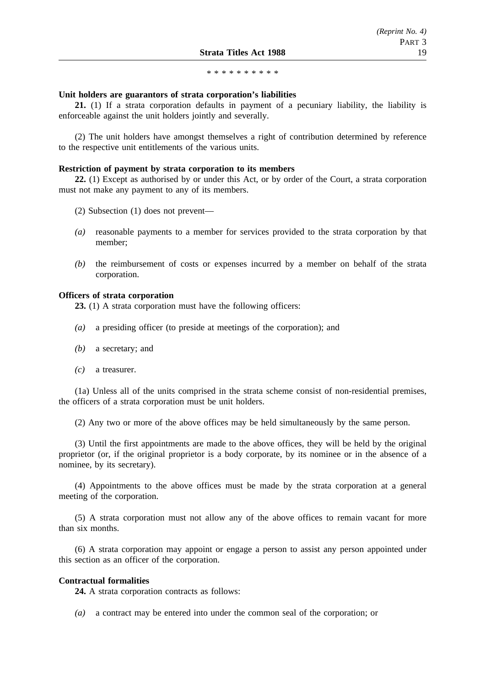#### \*\*\*\*\*\*\*\*\*\*

#### **Unit holders are guarantors of strata corporation's liabilities**

**21.** (1) If a strata corporation defaults in payment of a pecuniary liability, the liability is enforceable against the unit holders jointly and severally.

(2) The unit holders have amongst themselves a right of contribution determined by reference to the respective unit entitlements of the various units.

#### **Restriction of payment by strata corporation to its members**

**22.** (1) Except as authorised by or under this Act, or by order of the Court, a strata corporation must not make any payment to any of its members.

- (2) Subsection (1) does not prevent—
- *(a)* reasonable payments to a member for services provided to the strata corporation by that member;
- *(b)* the reimbursement of costs or expenses incurred by a member on behalf of the strata corporation.

#### **Officers of strata corporation**

**23.** (1) A strata corporation must have the following officers:

- *(a)* a presiding officer (to preside at meetings of the corporation); and
- *(b)* a secretary; and
- *(c)* a treasurer.

(1a) Unless all of the units comprised in the strata scheme consist of non-residential premises, the officers of a strata corporation must be unit holders.

(2) Any two or more of the above offices may be held simultaneously by the same person.

(3) Until the first appointments are made to the above offices, they will be held by the original proprietor (or, if the original proprietor is a body corporate, by its nominee or in the absence of a nominee, by its secretary).

(4) Appointments to the above offices must be made by the strata corporation at a general meeting of the corporation.

(5) A strata corporation must not allow any of the above offices to remain vacant for more than six months.

(6) A strata corporation may appoint or engage a person to assist any person appointed under this section as an officer of the corporation.

## **Contractual formalities**

**24.** A strata corporation contracts as follows:

*(a)* a contract may be entered into under the common seal of the corporation; or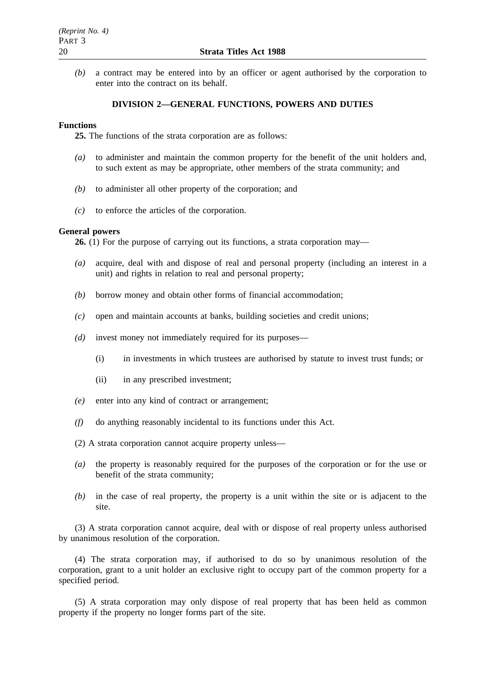*(b)* a contract may be entered into by an officer or agent authorised by the corporation to enter into the contract on its behalf.

## **DIVISION 2—GENERAL FUNCTIONS, POWERS AND DUTIES**

#### **Functions**

**25.** The functions of the strata corporation are as follows:

- *(a)* to administer and maintain the common property for the benefit of the unit holders and, to such extent as may be appropriate, other members of the strata community; and
- *(b)* to administer all other property of the corporation; and
- *(c)* to enforce the articles of the corporation.

#### **General powers**

**26.** (1) For the purpose of carrying out its functions, a strata corporation may—

- *(a)* acquire, deal with and dispose of real and personal property (including an interest in a unit) and rights in relation to real and personal property;
- *(b)* borrow money and obtain other forms of financial accommodation;
- *(c)* open and maintain accounts at banks, building societies and credit unions;
- *(d)* invest money not immediately required for its purposes—
	- (i) in investments in which trustees are authorised by statute to invest trust funds; or
	- (ii) in any prescribed investment;
- *(e)* enter into any kind of contract or arrangement;
- *(f)* do anything reasonably incidental to its functions under this Act.
- (2) A strata corporation cannot acquire property unless—
- *(a)* the property is reasonably required for the purposes of the corporation or for the use or benefit of the strata community;
- *(b)* in the case of real property, the property is a unit within the site or is adjacent to the site.

(3) A strata corporation cannot acquire, deal with or dispose of real property unless authorised by unanimous resolution of the corporation.

(4) The strata corporation may, if authorised to do so by unanimous resolution of the corporation, grant to a unit holder an exclusive right to occupy part of the common property for a specified period.

(5) A strata corporation may only dispose of real property that has been held as common property if the property no longer forms part of the site.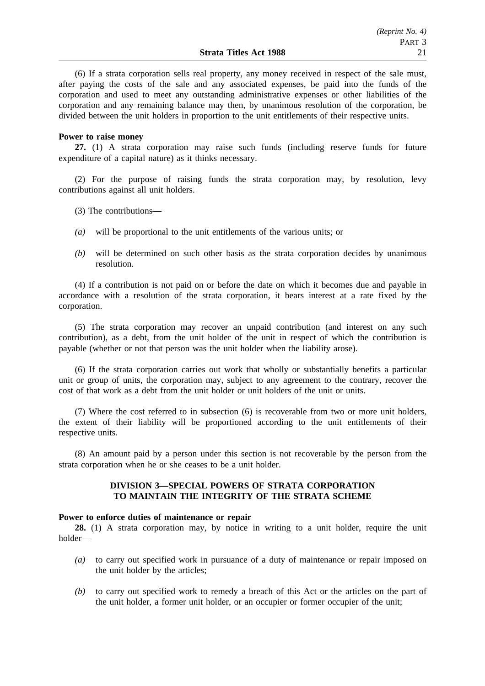(6) If a strata corporation sells real property, any money received in respect of the sale must, after paying the costs of the sale and any associated expenses, be paid into the funds of the corporation and used to meet any outstanding administrative expenses or other liabilities of the corporation and any remaining balance may then, by unanimous resolution of the corporation, be divided between the unit holders in proportion to the unit entitlements of their respective units.

#### **Power to raise money**

**27.** (1) A strata corporation may raise such funds (including reserve funds for future expenditure of a capital nature) as it thinks necessary.

(2) For the purpose of raising funds the strata corporation may, by resolution, levy contributions against all unit holders.

- (3) The contributions—
- *(a)* will be proportional to the unit entitlements of the various units; or
- *(b)* will be determined on such other basis as the strata corporation decides by unanimous resolution.

(4) If a contribution is not paid on or before the date on which it becomes due and payable in accordance with a resolution of the strata corporation, it bears interest at a rate fixed by the corporation.

(5) The strata corporation may recover an unpaid contribution (and interest on any such contribution), as a debt, from the unit holder of the unit in respect of which the contribution is payable (whether or not that person was the unit holder when the liability arose).

(6) If the strata corporation carries out work that wholly or substantially benefits a particular unit or group of units, the corporation may, subject to any agreement to the contrary, recover the cost of that work as a debt from the unit holder or unit holders of the unit or units.

(7) Where the cost referred to in subsection (6) is recoverable from two or more unit holders, the extent of their liability will be proportioned according to the unit entitlements of their respective units.

(8) An amount paid by a person under this section is not recoverable by the person from the strata corporation when he or she ceases to be a unit holder.

# **DIVISION 3—SPECIAL POWERS OF STRATA CORPORATION TO MAINTAIN THE INTEGRITY OF THE STRATA SCHEME**

#### **Power to enforce duties of maintenance or repair**

**28.** (1) A strata corporation may, by notice in writing to a unit holder, require the unit holder—

- *(a)* to carry out specified work in pursuance of a duty of maintenance or repair imposed on the unit holder by the articles;
- *(b)* to carry out specified work to remedy a breach of this Act or the articles on the part of the unit holder, a former unit holder, or an occupier or former occupier of the unit;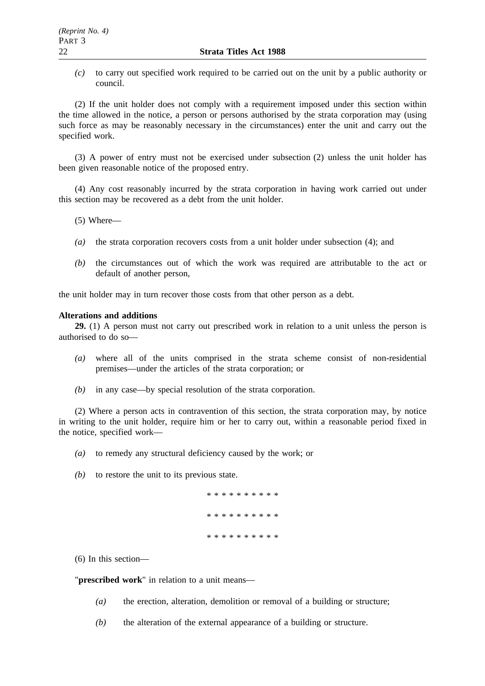*(c)* to carry out specified work required to be carried out on the unit by a public authority or council.

(2) If the unit holder does not comply with a requirement imposed under this section within the time allowed in the notice, a person or persons authorised by the strata corporation may (using such force as may be reasonably necessary in the circumstances) enter the unit and carry out the specified work.

(3) A power of entry must not be exercised under subsection (2) unless the unit holder has been given reasonable notice of the proposed entry.

(4) Any cost reasonably incurred by the strata corporation in having work carried out under this section may be recovered as a debt from the unit holder.

- (5) Where—
- *(a)* the strata corporation recovers costs from a unit holder under subsection (4); and
- *(b)* the circumstances out of which the work was required are attributable to the act or default of another person,

the unit holder may in turn recover those costs from that other person as a debt.

## **Alterations and additions**

**29.** (1) A person must not carry out prescribed work in relation to a unit unless the person is authorised to do so—

- *(a)* where all of the units comprised in the strata scheme consist of non-residential premises—under the articles of the strata corporation; or
- *(b)* in any case—by special resolution of the strata corporation.

(2) Where a person acts in contravention of this section, the strata corporation may, by notice in writing to the unit holder, require him or her to carry out, within a reasonable period fixed in the notice, specified work—

- *(a)* to remedy any structural deficiency caused by the work; or
- *(b)* to restore the unit to its previous state.

|  |  | * * * * * * * * * * |  |  |  |
|--|--|---------------------|--|--|--|
|  |  | * * * * * * * * * * |  |  |  |
|  |  | * * * * * * * * * * |  |  |  |

(6) In this section—

"**prescribed work**" in relation to a unit means—

- *(a)* the erection, alteration, demolition or removal of a building or structure;
- *(b)* the alteration of the external appearance of a building or structure.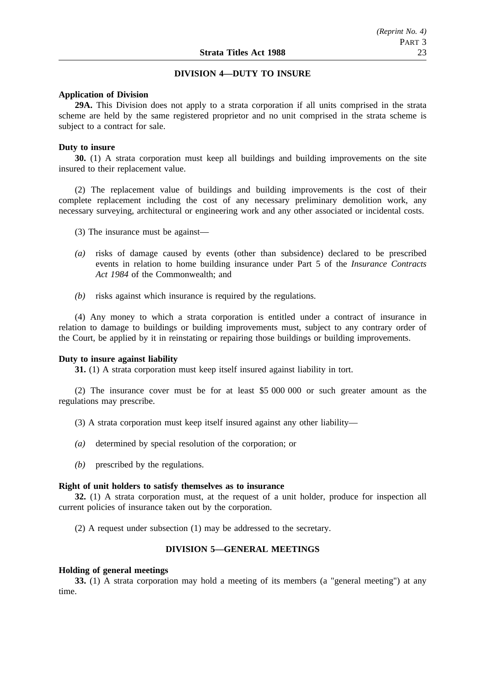## **DIVISION 4—DUTY TO INSURE**

## **Application of Division**

**29A.** This Division does not apply to a strata corporation if all units comprised in the strata scheme are held by the same registered proprietor and no unit comprised in the strata scheme is subject to a contract for sale.

# **Duty to insure**

**30.** (1) A strata corporation must keep all buildings and building improvements on the site insured to their replacement value.

(2) The replacement value of buildings and building improvements is the cost of their complete replacement including the cost of any necessary preliminary demolition work, any necessary surveying, architectural or engineering work and any other associated or incidental costs.

- (3) The insurance must be against—
- *(a)* risks of damage caused by events (other than subsidence) declared to be prescribed events in relation to home building insurance under Part 5 of the *Insurance Contracts Act 1984* of the Commonwealth; and
- *(b)* risks against which insurance is required by the regulations.

(4) Any money to which a strata corporation is entitled under a contract of insurance in relation to damage to buildings or building improvements must, subject to any contrary order of the Court, be applied by it in reinstating or repairing those buildings or building improvements.

## **Duty to insure against liability**

**31.** (1) A strata corporation must keep itself insured against liability in tort.

(2) The insurance cover must be for at least \$5 000 000 or such greater amount as the regulations may prescribe.

- (3) A strata corporation must keep itself insured against any other liability—
- *(a)* determined by special resolution of the corporation; or
- *(b)* prescribed by the regulations.

# **Right of unit holders to satisfy themselves as to insurance**

**32.** (1) A strata corporation must, at the request of a unit holder, produce for inspection all current policies of insurance taken out by the corporation.

(2) A request under subsection (1) may be addressed to the secretary.

# **DIVISION 5—GENERAL MEETINGS**

## **Holding of general meetings**

**33.** (1) A strata corporation may hold a meeting of its members (a "general meeting") at any time.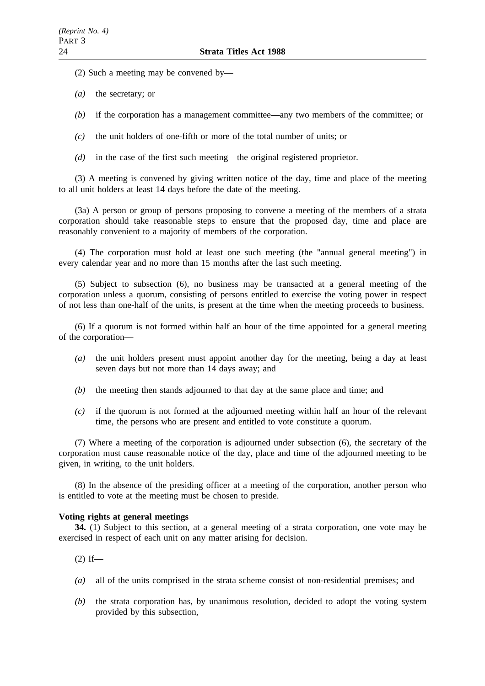(2) Such a meeting may be convened by—

*(a)* the secretary; or

*(b)* if the corporation has a management committee—any two members of the committee; or

*(c)* the unit holders of one-fifth or more of the total number of units; or

*(d)* in the case of the first such meeting—the original registered proprietor.

(3) A meeting is convened by giving written notice of the day, time and place of the meeting to all unit holders at least 14 days before the date of the meeting.

(3a) A person or group of persons proposing to convene a meeting of the members of a strata corporation should take reasonable steps to ensure that the proposed day, time and place are reasonably convenient to a majority of members of the corporation.

(4) The corporation must hold at least one such meeting (the "annual general meeting") in every calendar year and no more than 15 months after the last such meeting.

(5) Subject to subsection (6), no business may be transacted at a general meeting of the corporation unless a quorum, consisting of persons entitled to exercise the voting power in respect of not less than one-half of the units, is present at the time when the meeting proceeds to business.

(6) If a quorum is not formed within half an hour of the time appointed for a general meeting of the corporation—

- *(a)* the unit holders present must appoint another day for the meeting, being a day at least seven days but not more than 14 days away; and
- *(b)* the meeting then stands adjourned to that day at the same place and time; and
- *(c)* if the quorum is not formed at the adjourned meeting within half an hour of the relevant time, the persons who are present and entitled to vote constitute a quorum.

(7) Where a meeting of the corporation is adjourned under subsection (6), the secretary of the corporation must cause reasonable notice of the day, place and time of the adjourned meeting to be given, in writing, to the unit holders.

(8) In the absence of the presiding officer at a meeting of the corporation, another person who is entitled to vote at the meeting must be chosen to preside.

## **Voting rights at general meetings**

**34.** (1) Subject to this section, at a general meeting of a strata corporation, one vote may be exercised in respect of each unit on any matter arising for decision.

 $(2)$  If—

- *(a)* all of the units comprised in the strata scheme consist of non-residential premises; and
- *(b)* the strata corporation has, by unanimous resolution, decided to adopt the voting system provided by this subsection,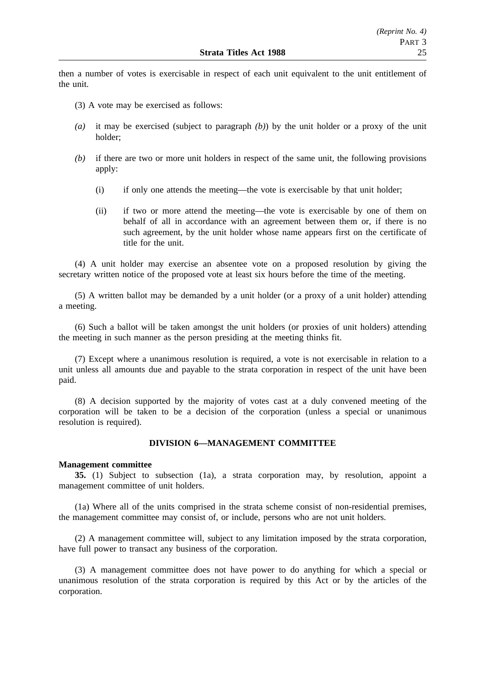then a number of votes is exercisable in respect of each unit equivalent to the unit entitlement of the unit.

- (3) A vote may be exercised as follows:
- *(a)* it may be exercised (subject to paragraph *(b)*) by the unit holder or a proxy of the unit holder;
- *(b)* if there are two or more unit holders in respect of the same unit, the following provisions apply:
	- (i) if only one attends the meeting—the vote is exercisable by that unit holder;
	- (ii) if two or more attend the meeting—the vote is exercisable by one of them on behalf of all in accordance with an agreement between them or, if there is no such agreement, by the unit holder whose name appears first on the certificate of title for the unit.

(4) A unit holder may exercise an absentee vote on a proposed resolution by giving the secretary written notice of the proposed vote at least six hours before the time of the meeting.

(5) A written ballot may be demanded by a unit holder (or a proxy of a unit holder) attending a meeting.

(6) Such a ballot will be taken amongst the unit holders (or proxies of unit holders) attending the meeting in such manner as the person presiding at the meeting thinks fit.

(7) Except where a unanimous resolution is required, a vote is not exercisable in relation to a unit unless all amounts due and payable to the strata corporation in respect of the unit have been paid.

(8) A decision supported by the majority of votes cast at a duly convened meeting of the corporation will be taken to be a decision of the corporation (unless a special or unanimous resolution is required).

# **DIVISION 6—MANAGEMENT COMMITTEE**

## **Management committee**

**35.** (1) Subject to subsection (1a), a strata corporation may, by resolution, appoint a management committee of unit holders.

(1a) Where all of the units comprised in the strata scheme consist of non-residential premises, the management committee may consist of, or include, persons who are not unit holders.

(2) A management committee will, subject to any limitation imposed by the strata corporation, have full power to transact any business of the corporation.

(3) A management committee does not have power to do anything for which a special or unanimous resolution of the strata corporation is required by this Act or by the articles of the corporation.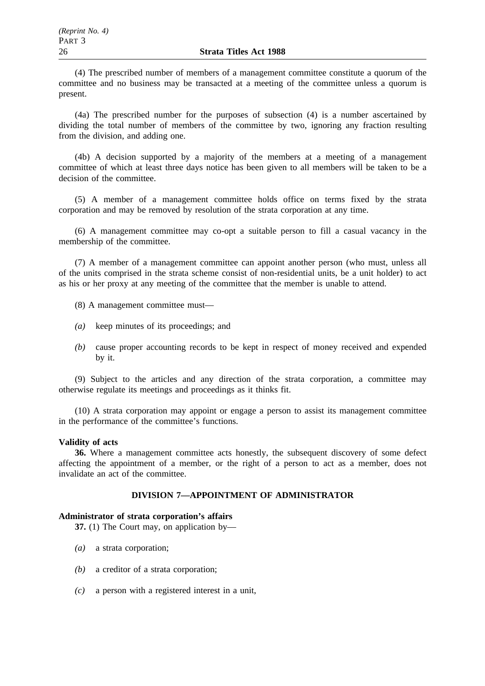(4) The prescribed number of members of a management committee constitute a quorum of the committee and no business may be transacted at a meeting of the committee unless a quorum is present.

(4a) The prescribed number for the purposes of subsection (4) is a number ascertained by dividing the total number of members of the committee by two, ignoring any fraction resulting from the division, and adding one.

(4b) A decision supported by a majority of the members at a meeting of a management committee of which at least three days notice has been given to all members will be taken to be a decision of the committee.

(5) A member of a management committee holds office on terms fixed by the strata corporation and may be removed by resolution of the strata corporation at any time.

(6) A management committee may co-opt a suitable person to fill a casual vacancy in the membership of the committee.

(7) A member of a management committee can appoint another person (who must, unless all of the units comprised in the strata scheme consist of non-residential units, be a unit holder) to act as his or her proxy at any meeting of the committee that the member is unable to attend.

(8) A management committee must—

- *(a)* keep minutes of its proceedings; and
- *(b)* cause proper accounting records to be kept in respect of money received and expended by it.

(9) Subject to the articles and any direction of the strata corporation, a committee may otherwise regulate its meetings and proceedings as it thinks fit.

(10) A strata corporation may appoint or engage a person to assist its management committee in the performance of the committee's functions.

#### **Validity of acts**

**36.** Where a management committee acts honestly, the subsequent discovery of some defect affecting the appointment of a member, or the right of a person to act as a member, does not invalidate an act of the committee.

# **DIVISION 7—APPOINTMENT OF ADMINISTRATOR**

#### **Administrator of strata corporation's affairs**

**37.** (1) The Court may, on application by—

- *(a)* a strata corporation;
- *(b)* a creditor of a strata corporation;
- *(c)* a person with a registered interest in a unit,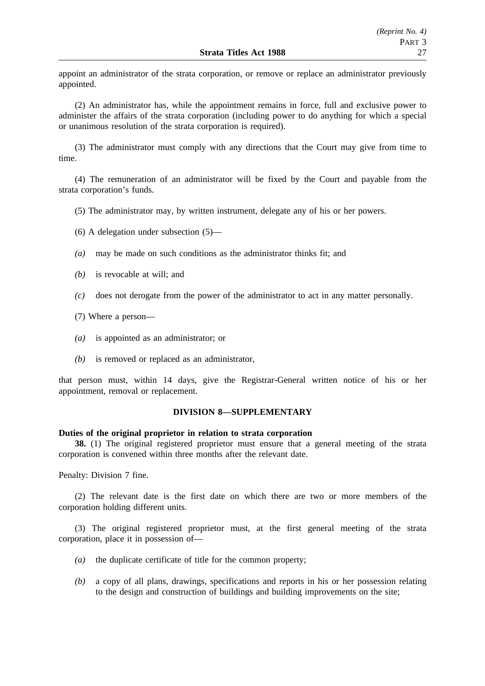appoint an administrator of the strata corporation, or remove or replace an administrator previously appointed.

(2) An administrator has, while the appointment remains in force, full and exclusive power to administer the affairs of the strata corporation (including power to do anything for which a special or unanimous resolution of the strata corporation is required).

(3) The administrator must comply with any directions that the Court may give from time to time.

(4) The remuneration of an administrator will be fixed by the Court and payable from the strata corporation's funds.

(5) The administrator may, by written instrument, delegate any of his or her powers.

(6) A delegation under subsection (5)—

- *(a)* may be made on such conditions as the administrator thinks fit; and
- *(b)* is revocable at will; and
- *(c)* does not derogate from the power of the administrator to act in any matter personally.

(7) Where a person—

- *(a)* is appointed as an administrator; or
- *(b)* is removed or replaced as an administrator,

that person must, within 14 days, give the Registrar-General written notice of his or her appointment, removal or replacement.

#### **DIVISION 8—SUPPLEMENTARY**

# **Duties of the original proprietor in relation to strata corporation**

**38.** (1) The original registered proprietor must ensure that a general meeting of the strata corporation is convened within three months after the relevant date.

Penalty: Division 7 fine.

(2) The relevant date is the first date on which there are two or more members of the corporation holding different units.

(3) The original registered proprietor must, at the first general meeting of the strata corporation, place it in possession of—

- *(a)* the duplicate certificate of title for the common property;
- *(b)* a copy of all plans, drawings, specifications and reports in his or her possession relating to the design and construction of buildings and building improvements on the site;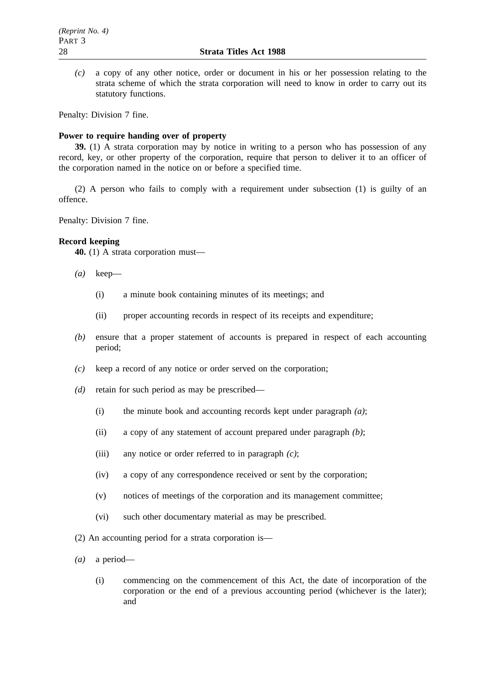*(c)* a copy of any other notice, order or document in his or her possession relating to the strata scheme of which the strata corporation will need to know in order to carry out its statutory functions.

Penalty: Division 7 fine.

# **Power to require handing over of property**

**39.** (1) A strata corporation may by notice in writing to a person who has possession of any record, key, or other property of the corporation, require that person to deliver it to an officer of the corporation named in the notice on or before a specified time.

(2) A person who fails to comply with a requirement under subsection (1) is guilty of an offence.

Penalty: Division 7 fine.

## **Record keeping**

**40.** (1) A strata corporation must—

- *(a)* keep—
	- (i) a minute book containing minutes of its meetings; and
	- (ii) proper accounting records in respect of its receipts and expenditure;
- *(b)* ensure that a proper statement of accounts is prepared in respect of each accounting period;
- *(c)* keep a record of any notice or order served on the corporation;
- *(d)* retain for such period as may be prescribed—
	- (i) the minute book and accounting records kept under paragraph *(a)*;
	- (ii) a copy of any statement of account prepared under paragraph *(b)*;
	- (iii) any notice or order referred to in paragraph *(c)*;
	- (iv) a copy of any correspondence received or sent by the corporation;
	- (v) notices of meetings of the corporation and its management committee;
	- (vi) such other documentary material as may be prescribed.
- (2) An accounting period for a strata corporation is—
- *(a)* a period—
	- (i) commencing on the commencement of this Act, the date of incorporation of the corporation or the end of a previous accounting period (whichever is the later); and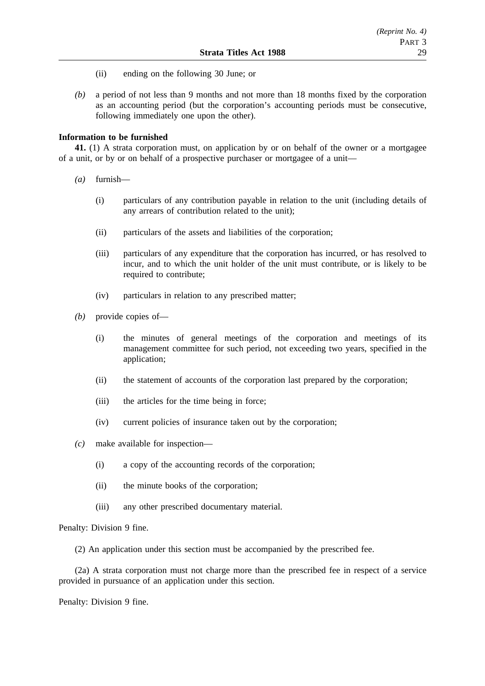- (ii) ending on the following 30 June; or
- *(b)* a period of not less than 9 months and not more than 18 months fixed by the corporation as an accounting period (but the corporation's accounting periods must be consecutive, following immediately one upon the other).

# **Information to be furnished**

**41.** (1) A strata corporation must, on application by or on behalf of the owner or a mortgagee of a unit, or by or on behalf of a prospective purchaser or mortgagee of a unit—

- *(a)* furnish—
	- (i) particulars of any contribution payable in relation to the unit (including details of any arrears of contribution related to the unit);
	- (ii) particulars of the assets and liabilities of the corporation;
	- (iii) particulars of any expenditure that the corporation has incurred, or has resolved to incur, and to which the unit holder of the unit must contribute, or is likely to be required to contribute;
	- (iv) particulars in relation to any prescribed matter;
- *(b)* provide copies of—
	- (i) the minutes of general meetings of the corporation and meetings of its management committee for such period, not exceeding two years, specified in the application;
	- (ii) the statement of accounts of the corporation last prepared by the corporation;
	- (iii) the articles for the time being in force;
	- (iv) current policies of insurance taken out by the corporation;
- *(c)* make available for inspection—
	- (i) a copy of the accounting records of the corporation;
	- (ii) the minute books of the corporation;
	- (iii) any other prescribed documentary material.

Penalty: Division 9 fine.

(2) An application under this section must be accompanied by the prescribed fee.

(2a) A strata corporation must not charge more than the prescribed fee in respect of a service provided in pursuance of an application under this section.

Penalty: Division 9 fine.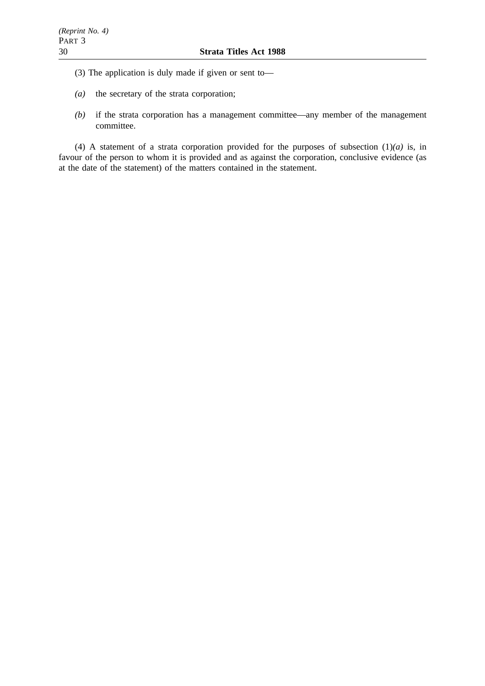- (3) The application is duly made if given or sent to—
- *(a)* the secretary of the strata corporation;
- *(b)* if the strata corporation has a management committee—any member of the management committee.

(4) A statement of a strata corporation provided for the purposes of subsection  $(1)(a)$  is, in favour of the person to whom it is provided and as against the corporation, conclusive evidence (as at the date of the statement) of the matters contained in the statement.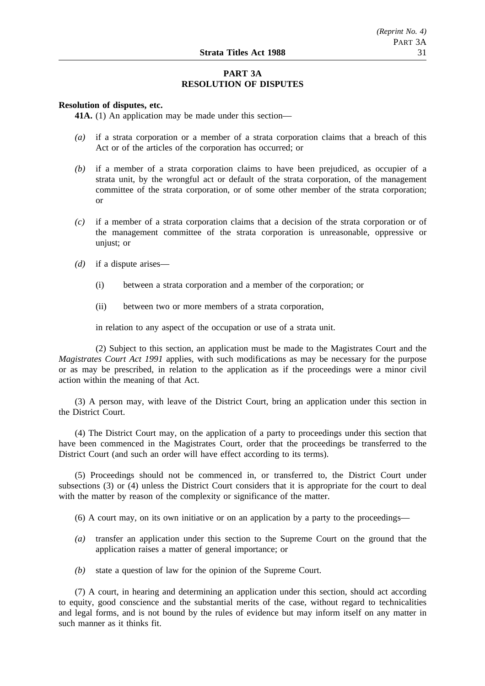# **PART 3A RESOLUTION OF DISPUTES**

#### **Resolution of disputes, etc.**

**41A.** (1) An application may be made under this section—

- *(a)* if a strata corporation or a member of a strata corporation claims that a breach of this Act or of the articles of the corporation has occurred; or
- *(b)* if a member of a strata corporation claims to have been prejudiced, as occupier of a strata unit, by the wrongful act or default of the strata corporation, of the management committee of the strata corporation, or of some other member of the strata corporation; or
- *(c)* if a member of a strata corporation claims that a decision of the strata corporation or of the management committee of the strata corporation is unreasonable, oppressive or uniust: or
- *(d)* if a dispute arises—
	- (i) between a strata corporation and a member of the corporation; or
	- (ii) between two or more members of a strata corporation,

in relation to any aspect of the occupation or use of a strata unit.

(2) Subject to this section, an application must be made to the Magistrates Court and the *Magistrates Court Act 1991* applies, with such modifications as may be necessary for the purpose or as may be prescribed, in relation to the application as if the proceedings were a minor civil action within the meaning of that Act.

(3) A person may, with leave of the District Court, bring an application under this section in the District Court.

(4) The District Court may, on the application of a party to proceedings under this section that have been commenced in the Magistrates Court, order that the proceedings be transferred to the District Court (and such an order will have effect according to its terms).

(5) Proceedings should not be commenced in, or transferred to, the District Court under subsections (3) or (4) unless the District Court considers that it is appropriate for the court to deal with the matter by reason of the complexity or significance of the matter.

(6) A court may, on its own initiative or on an application by a party to the proceedings—

- *(a)* transfer an application under this section to the Supreme Court on the ground that the application raises a matter of general importance; or
- *(b)* state a question of law for the opinion of the Supreme Court.

(7) A court, in hearing and determining an application under this section, should act according to equity, good conscience and the substantial merits of the case, without regard to technicalities and legal forms, and is not bound by the rules of evidence but may inform itself on any matter in such manner as it thinks fit.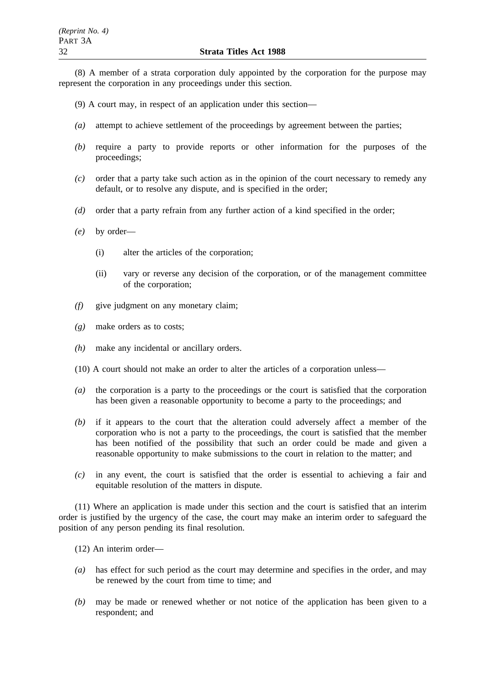(8) A member of a strata corporation duly appointed by the corporation for the purpose may represent the corporation in any proceedings under this section.

- (9) A court may, in respect of an application under this section—
- *(a)* attempt to achieve settlement of the proceedings by agreement between the parties;
- *(b)* require a party to provide reports or other information for the purposes of the proceedings;
- *(c)* order that a party take such action as in the opinion of the court necessary to remedy any default, or to resolve any dispute, and is specified in the order;
- *(d)* order that a party refrain from any further action of a kind specified in the order;
- *(e)* by order—
	- (i) alter the articles of the corporation;
	- (ii) vary or reverse any decision of the corporation, or of the management committee of the corporation;
- *(f)* give judgment on any monetary claim;
- *(g)* make orders as to costs;
- *(h)* make any incidental or ancillary orders.
- (10) A court should not make an order to alter the articles of a corporation unless—
- *(a)* the corporation is a party to the proceedings or the court is satisfied that the corporation has been given a reasonable opportunity to become a party to the proceedings; and
- *(b)* if it appears to the court that the alteration could adversely affect a member of the corporation who is not a party to the proceedings, the court is satisfied that the member has been notified of the possibility that such an order could be made and given a reasonable opportunity to make submissions to the court in relation to the matter; and
- *(c)* in any event, the court is satisfied that the order is essential to achieving a fair and equitable resolution of the matters in dispute.

(11) Where an application is made under this section and the court is satisfied that an interim order is justified by the urgency of the case, the court may make an interim order to safeguard the position of any person pending its final resolution.

(12) An interim order—

- *(a)* has effect for such period as the court may determine and specifies in the order, and may be renewed by the court from time to time; and
- *(b)* may be made or renewed whether or not notice of the application has been given to a respondent; and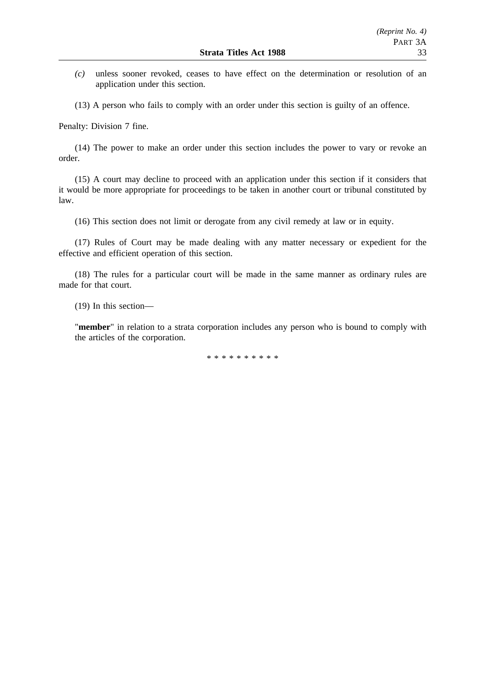- *(c)* unless sooner revoked, ceases to have effect on the determination or resolution of an application under this section.
- (13) A person who fails to comply with an order under this section is guilty of an offence.

Penalty: Division 7 fine.

(14) The power to make an order under this section includes the power to vary or revoke an order.

(15) A court may decline to proceed with an application under this section if it considers that it would be more appropriate for proceedings to be taken in another court or tribunal constituted by law.

(16) This section does not limit or derogate from any civil remedy at law or in equity.

(17) Rules of Court may be made dealing with any matter necessary or expedient for the effective and efficient operation of this section.

(18) The rules for a particular court will be made in the same manner as ordinary rules are made for that court.

(19) In this section—

"**member**" in relation to a strata corporation includes any person who is bound to comply with the articles of the corporation.

\*\*\*\*\*\*\*\*\*\*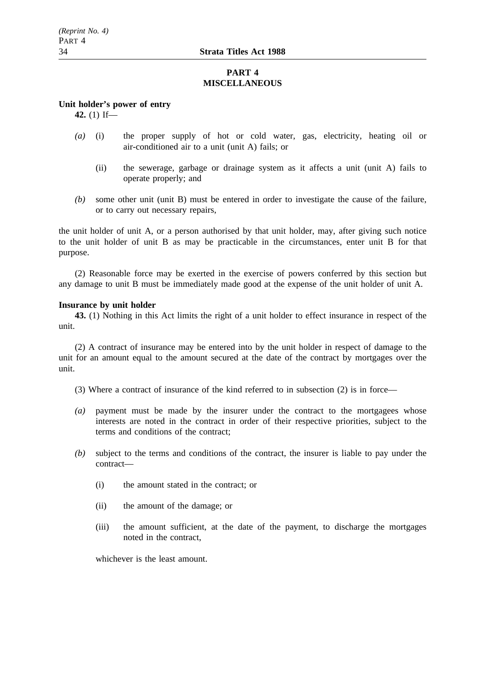# **PART 4 MISCELLANEOUS**

#### **Unit holder's power of entry**

**42.** (1) If—

- *(a)* (i) the proper supply of hot or cold water, gas, electricity, heating oil or air-conditioned air to a unit (unit A) fails; or
	- (ii) the sewerage, garbage or drainage system as it affects a unit (unit A) fails to operate properly; and
- *(b)* some other unit (unit B) must be entered in order to investigate the cause of the failure, or to carry out necessary repairs,

the unit holder of unit A, or a person authorised by that unit holder, may, after giving such notice to the unit holder of unit B as may be practicable in the circumstances, enter unit B for that purpose.

(2) Reasonable force may be exerted in the exercise of powers conferred by this section but any damage to unit B must be immediately made good at the expense of the unit holder of unit A.

## **Insurance by unit holder**

**43.** (1) Nothing in this Act limits the right of a unit holder to effect insurance in respect of the unit.

(2) A contract of insurance may be entered into by the unit holder in respect of damage to the unit for an amount equal to the amount secured at the date of the contract by mortgages over the unit.

(3) Where a contract of insurance of the kind referred to in subsection (2) is in force—

- *(a)* payment must be made by the insurer under the contract to the mortgagees whose interests are noted in the contract in order of their respective priorities, subject to the terms and conditions of the contract;
- *(b)* subject to the terms and conditions of the contract, the insurer is liable to pay under the contract—
	- (i) the amount stated in the contract; or
	- (ii) the amount of the damage; or
	- (iii) the amount sufficient, at the date of the payment, to discharge the mortgages noted in the contract,

whichever is the least amount.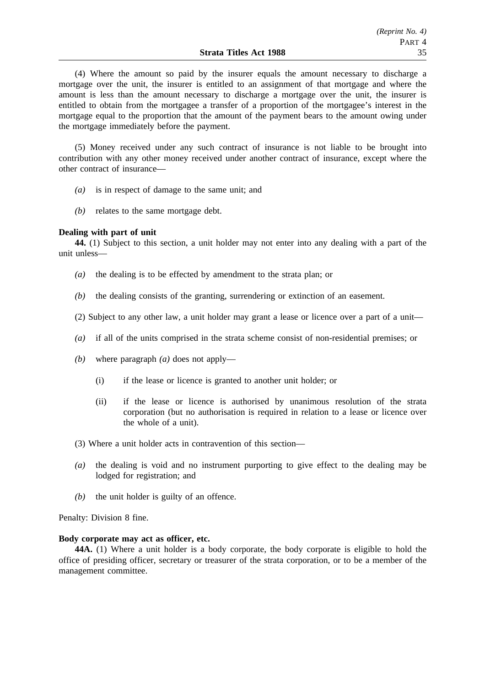(4) Where the amount so paid by the insurer equals the amount necessary to discharge a mortgage over the unit, the insurer is entitled to an assignment of that mortgage and where the amount is less than the amount necessary to discharge a mortgage over the unit, the insurer is entitled to obtain from the mortgagee a transfer of a proportion of the mortgagee's interest in the mortgage equal to the proportion that the amount of the payment bears to the amount owing under the mortgage immediately before the payment.

(5) Money received under any such contract of insurance is not liable to be brought into contribution with any other money received under another contract of insurance, except where the other contract of insurance—

- *(a)* is in respect of damage to the same unit; and
- *(b)* relates to the same mortgage debt.

#### **Dealing with part of unit**

**44.** (1) Subject to this section, a unit holder may not enter into any dealing with a part of the unit unless—

- *(a)* the dealing is to be effected by amendment to the strata plan; or
- *(b)* the dealing consists of the granting, surrendering or extinction of an easement.
- (2) Subject to any other law, a unit holder may grant a lease or licence over a part of a unit—
- *(a)* if all of the units comprised in the strata scheme consist of non-residential premises; or
- *(b)* where paragraph *(a)* does not apply—
	- (i) if the lease or licence is granted to another unit holder; or
	- (ii) if the lease or licence is authorised by unanimous resolution of the strata corporation (but no authorisation is required in relation to a lease or licence over the whole of a unit).
- (3) Where a unit holder acts in contravention of this section—
- *(a)* the dealing is void and no instrument purporting to give effect to the dealing may be lodged for registration; and
- *(b)* the unit holder is guilty of an offence.

Penalty: Division 8 fine.

## **Body corporate may act as officer, etc.**

**44A.** (1) Where a unit holder is a body corporate, the body corporate is eligible to hold the office of presiding officer, secretary or treasurer of the strata corporation, or to be a member of the management committee.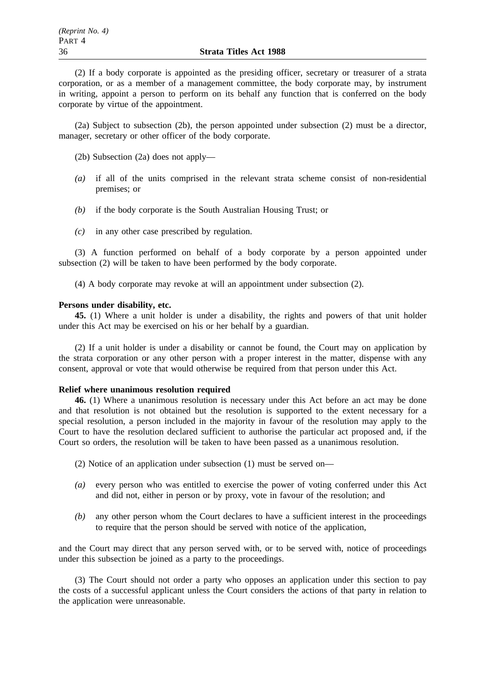(2) If a body corporate is appointed as the presiding officer, secretary or treasurer of a strata corporation, or as a member of a management committee, the body corporate may, by instrument in writing, appoint a person to perform on its behalf any function that is conferred on the body corporate by virtue of the appointment.

(2a) Subject to subsection (2b), the person appointed under subsection (2) must be a director, manager, secretary or other officer of the body corporate.

(2b) Subsection (2a) does not apply—

- *(a)* if all of the units comprised in the relevant strata scheme consist of non-residential premises; or
- *(b)* if the body corporate is the South Australian Housing Trust; or
- *(c)* in any other case prescribed by regulation.

(3) A function performed on behalf of a body corporate by a person appointed under subsection (2) will be taken to have been performed by the body corporate.

(4) A body corporate may revoke at will an appointment under subsection (2).

#### **Persons under disability, etc.**

**45.** (1) Where a unit holder is under a disability, the rights and powers of that unit holder under this Act may be exercised on his or her behalf by a guardian.

(2) If a unit holder is under a disability or cannot be found, the Court may on application by the strata corporation or any other person with a proper interest in the matter, dispense with any consent, approval or vote that would otherwise be required from that person under this Act.

## **Relief where unanimous resolution required**

**46.** (1) Where a unanimous resolution is necessary under this Act before an act may be done and that resolution is not obtained but the resolution is supported to the extent necessary for a special resolution, a person included in the majority in favour of the resolution may apply to the Court to have the resolution declared sufficient to authorise the particular act proposed and, if the Court so orders, the resolution will be taken to have been passed as a unanimous resolution.

- (2) Notice of an application under subsection (1) must be served on—
- *(a)* every person who was entitled to exercise the power of voting conferred under this Act and did not, either in person or by proxy, vote in favour of the resolution; and
- *(b)* any other person whom the Court declares to have a sufficient interest in the proceedings to require that the person should be served with notice of the application,

and the Court may direct that any person served with, or to be served with, notice of proceedings under this subsection be joined as a party to the proceedings.

(3) The Court should not order a party who opposes an application under this section to pay the costs of a successful applicant unless the Court considers the actions of that party in relation to the application were unreasonable.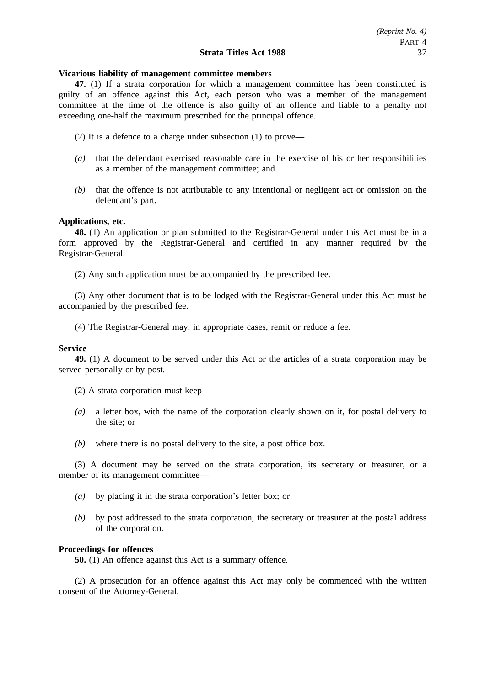## **Vicarious liability of management committee members**

**47.** (1) If a strata corporation for which a management committee has been constituted is guilty of an offence against this Act, each person who was a member of the management committee at the time of the offence is also guilty of an offence and liable to a penalty not exceeding one-half the maximum prescribed for the principal offence.

- (2) It is a defence to a charge under subsection (1) to prove—
- *(a)* that the defendant exercised reasonable care in the exercise of his or her responsibilities as a member of the management committee; and
- *(b)* that the offence is not attributable to any intentional or negligent act or omission on the defendant's part.

## **Applications, etc.**

**48.** (1) An application or plan submitted to the Registrar-General under this Act must be in a form approved by the Registrar-General and certified in any manner required by the Registrar-General.

(2) Any such application must be accompanied by the prescribed fee.

(3) Any other document that is to be lodged with the Registrar-General under this Act must be accompanied by the prescribed fee.

(4) The Registrar-General may, in appropriate cases, remit or reduce a fee.

#### **Service**

**49.** (1) A document to be served under this Act or the articles of a strata corporation may be served personally or by post.

(2) A strata corporation must keep—

- *(a)* a letter box, with the name of the corporation clearly shown on it, for postal delivery to the site; or
- *(b)* where there is no postal delivery to the site, a post office box.

(3) A document may be served on the strata corporation, its secretary or treasurer, or a member of its management committee—

- *(a)* by placing it in the strata corporation's letter box; or
- *(b)* by post addressed to the strata corporation, the secretary or treasurer at the postal address of the corporation.

## **Proceedings for offences**

**50.** (1) An offence against this Act is a summary offence.

(2) A prosecution for an offence against this Act may only be commenced with the written consent of the Attorney-General.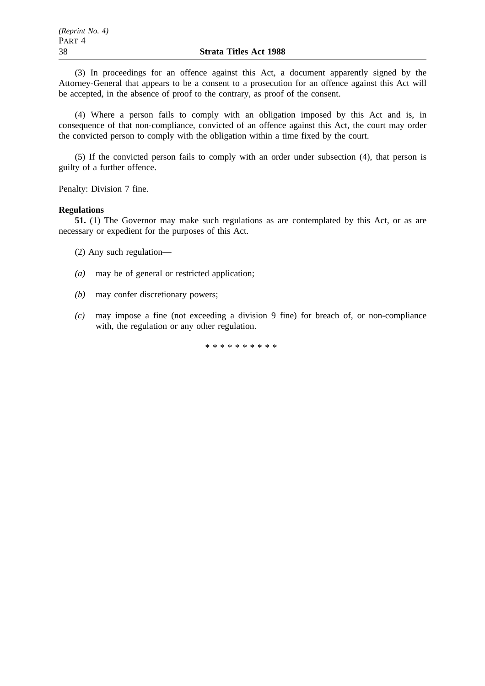(3) In proceedings for an offence against this Act, a document apparently signed by the Attorney-General that appears to be a consent to a prosecution for an offence against this Act will be accepted, in the absence of proof to the contrary, as proof of the consent.

(4) Where a person fails to comply with an obligation imposed by this Act and is, in consequence of that non-compliance, convicted of an offence against this Act, the court may order the convicted person to comply with the obligation within a time fixed by the court.

(5) If the convicted person fails to comply with an order under subsection (4), that person is guilty of a further offence.

Penalty: Division 7 fine.

# **Regulations**

**51.** (1) The Governor may make such regulations as are contemplated by this Act, or as are necessary or expedient for the purposes of this Act.

(2) Any such regulation—

- *(a)* may be of general or restricted application;
- *(b)* may confer discretionary powers;
- *(c)* may impose a fine (not exceeding a division 9 fine) for breach of, or non-compliance with, the regulation or any other regulation.

\*\*\*\*\*\*\*\*\*\*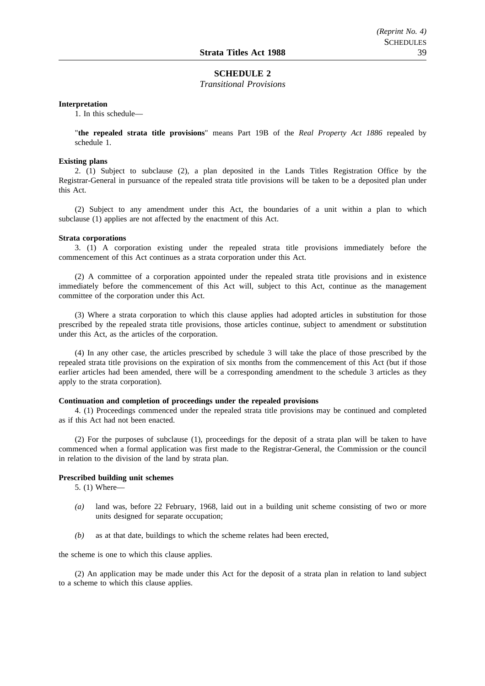#### **SCHEDULE 2**

#### *Transitional Provisions*

#### **Interpretation**

1. In this schedule—

"**the repealed strata title provisions**" means Part 19B of the *Real Property Act 1886* repealed by schedule 1.

#### **Existing plans**

2. (1) Subject to subclause (2), a plan deposited in the Lands Titles Registration Office by the Registrar-General in pursuance of the repealed strata title provisions will be taken to be a deposited plan under this Act.

(2) Subject to any amendment under this Act, the boundaries of a unit within a plan to which subclause (1) applies are not affected by the enactment of this Act.

#### **Strata corporations**

3. (1) A corporation existing under the repealed strata title provisions immediately before the commencement of this Act continues as a strata corporation under this Act.

(2) A committee of a corporation appointed under the repealed strata title provisions and in existence immediately before the commencement of this Act will, subject to this Act, continue as the management committee of the corporation under this Act.

(3) Where a strata corporation to which this clause applies had adopted articles in substitution for those prescribed by the repealed strata title provisions, those articles continue, subject to amendment or substitution under this Act, as the articles of the corporation.

(4) In any other case, the articles prescribed by schedule 3 will take the place of those prescribed by the repealed strata title provisions on the expiration of six months from the commencement of this Act (but if those earlier articles had been amended, there will be a corresponding amendment to the schedule 3 articles as they apply to the strata corporation).

#### **Continuation and completion of proceedings under the repealed provisions**

4. (1) Proceedings commenced under the repealed strata title provisions may be continued and completed as if this Act had not been enacted.

(2) For the purposes of subclause (1), proceedings for the deposit of a strata plan will be taken to have commenced when a formal application was first made to the Registrar-General, the Commission or the council in relation to the division of the land by strata plan.

#### **Prescribed building unit schemes**

5. (1) Where—

- *(a)* land was, before 22 February, 1968, laid out in a building unit scheme consisting of two or more units designed for separate occupation;
- *(b)* as at that date, buildings to which the scheme relates had been erected,

the scheme is one to which this clause applies.

(2) An application may be made under this Act for the deposit of a strata plan in relation to land subject to a scheme to which this clause applies.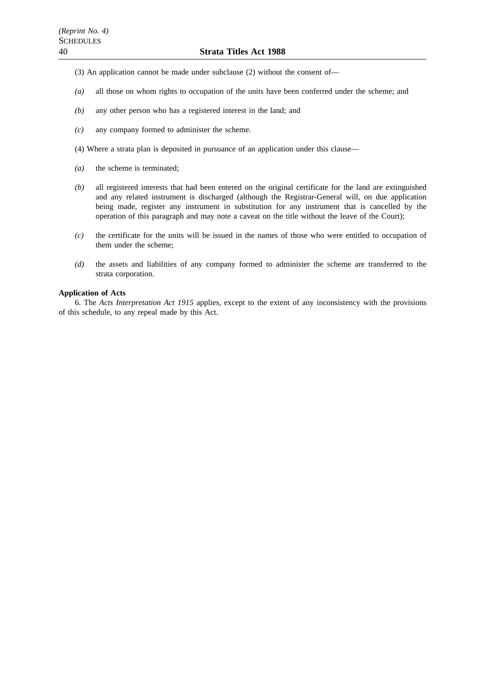- (3) An application cannot be made under subclause (2) without the consent of—
- *(a)* all those on whom rights to occupation of the units have been conferred under the scheme; and
- *(b)* any other person who has a registered interest in the land; and
- *(c)* any company formed to administer the scheme.
- (4) Where a strata plan is deposited in pursuance of an application under this clause—
- *(a)* the scheme is terminated;
- *(b)* all registered interests that had been entered on the original certificate for the land are extinguished and any related instrument is discharged (although the Registrar-General will, on due application being made, register any instrument in substitution for any instrument that is cancelled by the operation of this paragraph and may note a caveat on the title without the leave of the Court);
- *(c)* the certificate for the units will be issued in the names of those who were entitled to occupation of them under the scheme;
- *(d)* the assets and liabilities of any company formed to administer the scheme are transferred to the strata corporation.

#### **Application of Acts**

6. The *Acts Interpretation Act 1915* applies, except to the extent of any inconsistency with the provisions of this schedule, to any repeal made by this Act.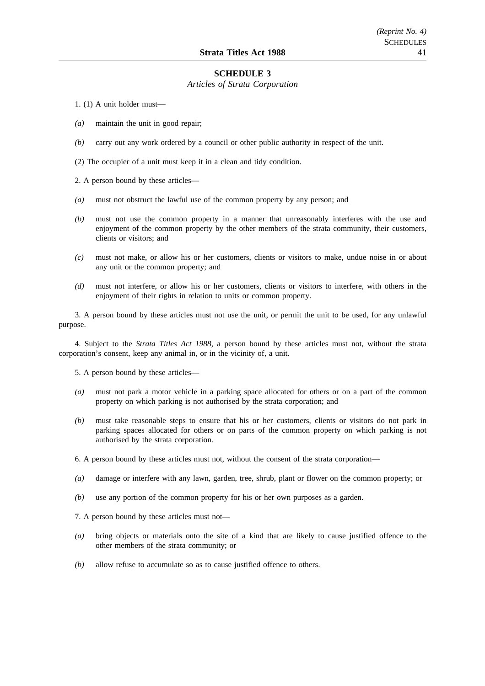#### **SCHEDULE 3**

#### *Articles of Strata Corporation*

1. (1) A unit holder must—

- *(a)* maintain the unit in good repair;
- *(b)* carry out any work ordered by a council or other public authority in respect of the unit.

(2) The occupier of a unit must keep it in a clean and tidy condition.

2. A person bound by these articles—

- *(a)* must not obstruct the lawful use of the common property by any person; and
- *(b)* must not use the common property in a manner that unreasonably interferes with the use and enjoyment of the common property by the other members of the strata community, their customers, clients or visitors; and
- *(c)* must not make, or allow his or her customers, clients or visitors to make, undue noise in or about any unit or the common property; and
- *(d)* must not interfere, or allow his or her customers, clients or visitors to interfere, with others in the enjoyment of their rights in relation to units or common property.

3. A person bound by these articles must not use the unit, or permit the unit to be used, for any unlawful purpose.

4. Subject to the *Strata Titles Act 1988*, a person bound by these articles must not, without the strata corporation's consent, keep any animal in, or in the vicinity of, a unit.

5. A person bound by these articles—

- *(a)* must not park a motor vehicle in a parking space allocated for others or on a part of the common property on which parking is not authorised by the strata corporation; and
- *(b)* must take reasonable steps to ensure that his or her customers, clients or visitors do not park in parking spaces allocated for others or on parts of the common property on which parking is not authorised by the strata corporation.

6. A person bound by these articles must not, without the consent of the strata corporation—

- *(a)* damage or interfere with any lawn, garden, tree, shrub, plant or flower on the common property; or
- *(b)* use any portion of the common property for his or her own purposes as a garden.
- 7. A person bound by these articles must not—
- *(a)* bring objects or materials onto the site of a kind that are likely to cause justified offence to the other members of the strata community; or
- *(b)* allow refuse to accumulate so as to cause justified offence to others.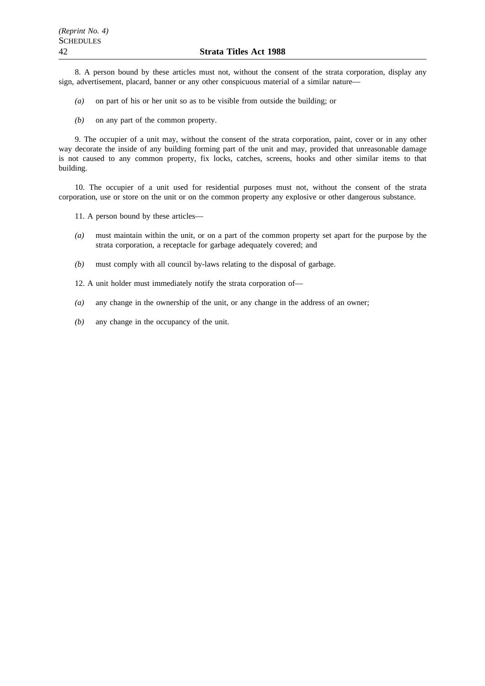8. A person bound by these articles must not, without the consent of the strata corporation, display any sign, advertisement, placard, banner or any other conspicuous material of a similar nature—

- *(a)* on part of his or her unit so as to be visible from outside the building; or
- *(b)* on any part of the common property.

9. The occupier of a unit may, without the consent of the strata corporation, paint, cover or in any other way decorate the inside of any building forming part of the unit and may, provided that unreasonable damage is not caused to any common property, fix locks, catches, screens, hooks and other similar items to that building.

10. The occupier of a unit used for residential purposes must not, without the consent of the strata corporation, use or store on the unit or on the common property any explosive or other dangerous substance.

11. A person bound by these articles—

- *(a)* must maintain within the unit, or on a part of the common property set apart for the purpose by the strata corporation, a receptacle for garbage adequately covered; and
- *(b)* must comply with all council by-laws relating to the disposal of garbage.

12. A unit holder must immediately notify the strata corporation of—

- *(a)* any change in the ownership of the unit, or any change in the address of an owner;
- *(b)* any change in the occupancy of the unit.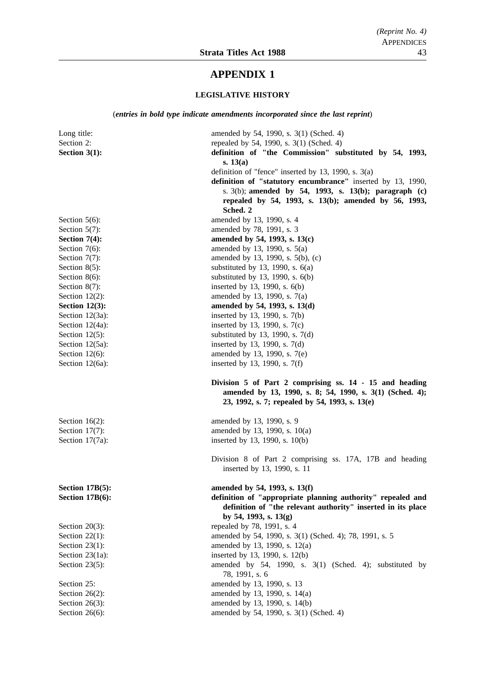# **APPENDIX 1**

# **LEGISLATIVE HISTORY**

(*entries in bold type indicate amendments incorporated since the last reprint*)

| Long title:            | amended by 54, 1990, s. 3(1) (Sched. 4)                                                                                                                               |
|------------------------|-----------------------------------------------------------------------------------------------------------------------------------------------------------------------|
| Section 2:             | repealed by 54, 1990, s. 3(1) (Sched. 4)                                                                                                                              |
| Section $3(1)$ :       | definition of "the Commission" substituted by 54, 1993,                                                                                                               |
|                        | s. $13(a)$                                                                                                                                                            |
|                        | definition of "fence" inserted by 13, 1990, s. $3(a)$                                                                                                                 |
|                        | definition of "statutory encumbrance" inserted by 13, 1990,                                                                                                           |
|                        | s. $3(b)$ ; amended by 54, 1993, s. $13(b)$ ; paragraph (c)                                                                                                           |
|                        | repealed by 54, 1993, s. 13(b); amended by 56, 1993,<br>Sched. 2                                                                                                      |
| Section $5(6)$ :       | amended by 13, 1990, s. 4                                                                                                                                             |
| Section $5(7)$ :       | amended by 78, 1991, s. 3                                                                                                                                             |
| Section $7(4)$ :       | amended by 54, 1993, s. 13(c)                                                                                                                                         |
| Section $7(6)$ :       | amended by 13, 1990, s. 5(a)                                                                                                                                          |
| Section $7(7)$ :       | amended by 13, 1990, s. 5(b), (c)                                                                                                                                     |
| Section $8(5)$ :       | substituted by 13, 1990, s. $6(a)$                                                                                                                                    |
| Section $8(6)$ :       | substituted by 13, 1990, s. $6(b)$                                                                                                                                    |
| Section 8(7):          | inserted by 13, 1990, s. 6(b)                                                                                                                                         |
| Section $12(2)$ :      | amended by 13, 1990, s. 7(a)                                                                                                                                          |
| Section $12(3)$ :      | amended by 54, 1993, s. 13(d)                                                                                                                                         |
| Section 12(3a):        | inserted by 13, 1990, s. 7(b)                                                                                                                                         |
| Section 12(4a):        | inserted by 13, 1990, s. $7(c)$                                                                                                                                       |
| Section $12(5)$ :      | substituted by 13, 1990, s. $7(d)$                                                                                                                                    |
| Section 12(5a):        | inserted by 13, 1990, s. 7(d)                                                                                                                                         |
| Section $12(6)$ :      | amended by 13, 1990, s. 7(e)                                                                                                                                          |
| Section 12(6a):        | inserted by 13, 1990, s. 7(f)                                                                                                                                         |
|                        | Division 5 of Part 2 comprising ss. 14 - 15 and heading<br>amended by 13, 1990, s. 8; 54, 1990, s. 3(1) (Sched. 4);<br>23, 1992, s. 7; repealed by 54, 1993, s. 13(e) |
| Section $16(2)$ :      | amended by 13, 1990, s. 9                                                                                                                                             |
| Section $17(7)$ :      | amended by 13, 1990, s. 10(a)                                                                                                                                         |
| Section 17(7a):        | inserted by 13, 1990, s. 10(b)                                                                                                                                        |
|                        |                                                                                                                                                                       |
|                        | Division 8 of Part 2 comprising ss. 17A, 17B and heading<br>inserted by 13, 1990, s. 11                                                                               |
| <b>Section 17B(5):</b> | amended by 54, 1993, s. 13(f)                                                                                                                                         |
| Section 17B(6):        | definition of "appropriate planning authority" repealed and                                                                                                           |
|                        | definition of "the relevant authority" inserted in its place                                                                                                          |
|                        | by 54, 1993, s. 13(g)                                                                                                                                                 |
| Section $20(3)$ :      | repealed by 78, 1991, s. 4                                                                                                                                            |
| Section $22(1)$ :      | amended by 54, 1990, s. 3(1) (Sched. 4); 78, 1991, s. 5                                                                                                               |
| Section $23(1)$ :      | amended by 13, 1990, s. 12(a)                                                                                                                                         |
| Section 23(1a):        | inserted by 13, 1990, s. 12(b)                                                                                                                                        |
| Section $23(5)$ :      | amended by 54, 1990, s. $3(1)$ (Sched. 4); substituted by                                                                                                             |
|                        | 78, 1991, s. 6                                                                                                                                                        |
| Section 25:            | amended by 13, 1990, s. 13                                                                                                                                            |
| Section $26(2)$ :      | amended by 13, 1990, s. 14(a)                                                                                                                                         |
| Section $26(3)$ :      | amended by 13, 1990, s. 14(b)                                                                                                                                         |
| Section $26(6)$ :      | amended by 54, 1990, s. 3(1) (Sched. 4)                                                                                                                               |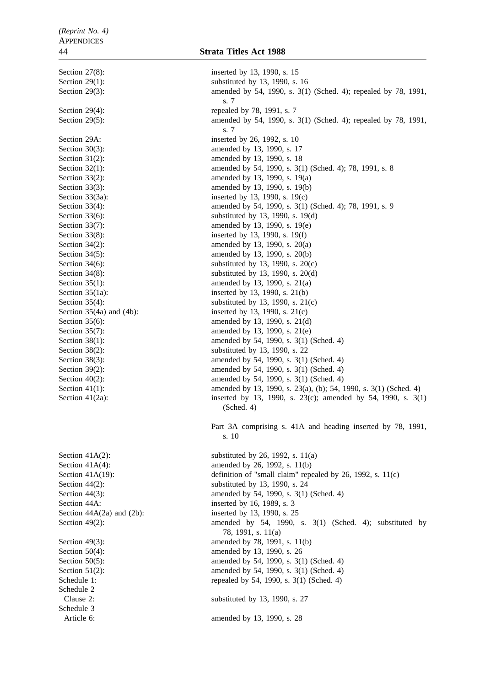Schedule 2 Schedule 3

Section 27(8): inserted by 13, 1990, s. 15 Section 29(1): substituted by 13, 1990, s. 16 Section 29(3): amended by 54, 1990, s. 3(1) (Sched. 4); repealed by 78, 1991, s. 7 Section 29(4): repealed by 78, 1991, s. 7 Section 29(5): amended by 54, 1990, s. 3(1) (Sched. 4); repealed by 78, 1991, s. 7 Section 29A: inserted by 26, 1992, s. 10 Section 30(3): amended by 13, 1990, s. 17 Section 31(2): amended by 13, 1990, s. 18 Section 32(1): amended by 54, 1990, s. 3(1) (Sched. 4); 78, 1991, s. 8 Section 33(2): amended by 13, 1990, s. 19(a) Section 33(3): amended by 13, 1990, s. 19(b) Section 33(3a): inserted by 13, 1990, s. 19(c) Section 33(4): amended by 54, 1990, s. 3(1) (Sched. 4); 78, 1991, s. 9 Section 33(6): substituted by 13, 1990, s. 19(d) Section 33(7): amended by 13, 1990, s. 19(e) Section 33(8): inserted by 13, 1990, s. 19(f) Section 34(2): amended by 13, 1990, s. 20(a) Section 34(5): amended by 13, 1990, s. 20(b) Section  $34(6)$ : substituted by 13, 1990, s.  $20(c)$ Section 34(8): substituted by 13, 1990, s. 20(d) Section 35(1): amended by 13, 1990, s. 21(a) Section 35(1a): inserted by 13, 1990, s. 21(b) Section 35(4): substituted by 13, 1990, s. 21(c) Section 35(4a) and (4b): inserted by 13, 1990, s. 21(c) Section 35(6): amended by 13, 1990, s. 21(d) Section 35(7): amended by 13, 1990, s. 21(e) Section 38(1): amended by 54, 1990, s. 3(1) (Sched. 4) Section 38(2): substituted by 13, 1990, s. 22 Section 38(3): amended by 54, 1990, s. 3(1) (Sched. 4) Section 39(2): amended by 54, 1990, s. 3(1) (Sched. 4) Section 40(2): amended by 54, 1990, s. 3(1) (Sched. 4) Section 41(1): amended by 13, 1990, s. 23(a), (b); 54, 1990, s. 3(1) (Sched. 4) Section 41(2a): inserted by 13, 1990, s. 23(c); amended by 54, 1990, s. 3(1) (Sched. 4) Part 3A comprising s. 41A and heading inserted by 78, 1991, s. 10 Section 41A(2): substituted by 26, 1992, s.  $11(a)$ Section 41A(4): amended by 26, 1992, s. 11(b) Section 41A(19): definition of "small claim" repealed by 26, 1992, s. 11(c) Section 44(2): substituted by 13, 1990, s. 24 Section 44(3): amended by 54, 1990, s. 3(1) (Sched. 4) Section 44A: inserted by 16, 1989, s. 3 Section 44A(2a) and (2b): inserted by 13, 1990, s. 25 Section 49(2): amended by 54, 1990, s. 3(1) (Sched. 4); substituted by 78, 1991, s. 11(a) Section 49(3): amended by 78, 1991, s. 11(b) Section 50(4): amended by 13, 1990, s. 26 Section 50(5): amended by 54, 1990, s. 3(1) (Sched. 4) Section 51(2): amended by 54, 1990, s. 3(1) (Sched. 4) Schedule 1: repealed by 54, 1990, s. 3(1) (Sched. 4) Clause 2: substituted by 13, 1990, s. 27 Article 6: **amended** by 13, 1990, s. 28